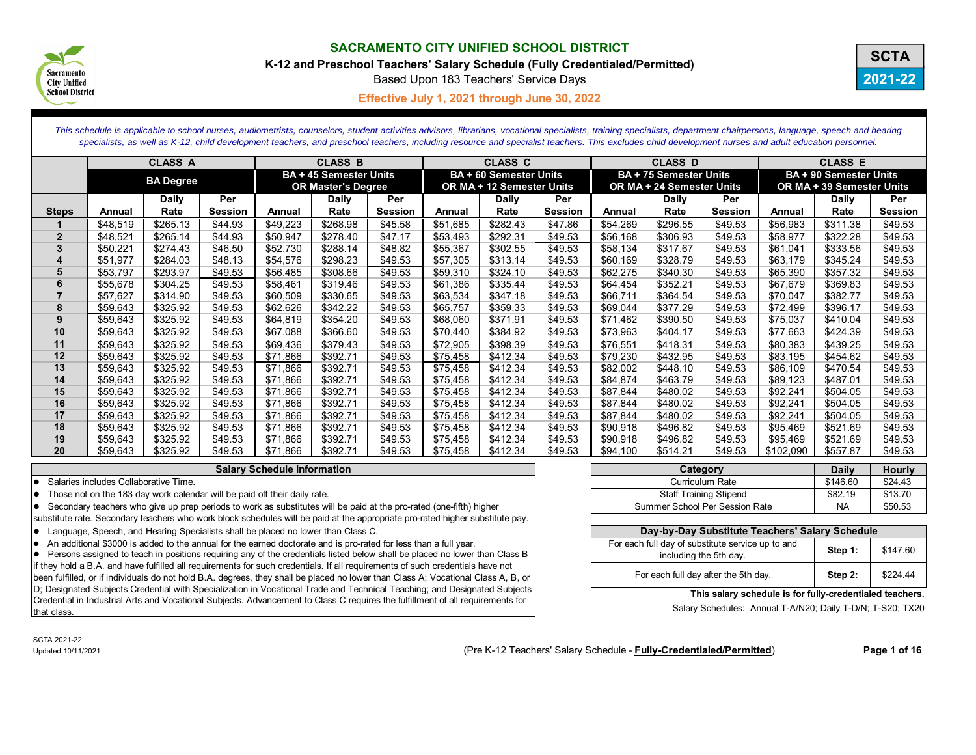

**K-12 and Preschool Teachers' Salary Schedule (Fully Credentialed/Permitted)**

Based Upon 183 Teachers' Service Days



**Effective July 1, 2021 through June 30, 2022 C**

*This schedule is applicable to school nurses, audiometrists, counselors, student activities advisors, librarians, vocational specialists, training specialists, department chairpersons, language, speech and hearing*  specialists, as well as K-12, child development teachers, and preschool teachers, including resource and specialist teachers. This excludes child development nurses and adult education personnel.

|                |          | <b>CLASS A</b>   |                |          | <b>CLASS B</b>                                             |                |          | <b>CLASS C</b>                                             |                |          | <b>CLASS D</b>                                             |                |           | <b>CLASS E</b>                                             |                |
|----------------|----------|------------------|----------------|----------|------------------------------------------------------------|----------------|----------|------------------------------------------------------------|----------------|----------|------------------------------------------------------------|----------------|-----------|------------------------------------------------------------|----------------|
|                |          | <b>BA Degree</b> |                |          | <b>BA + 45 Semester Units</b><br><b>OR Master's Degree</b> |                |          | <b>BA + 60 Semester Units</b><br>OR MA + 12 Semester Units |                |          | <b>BA + 75 Semester Units</b><br>OR MA + 24 Semester Units |                |           | <b>BA + 90 Semester Units</b><br>OR MA + 39 Semester Units |                |
|                |          | <b>Daily</b>     | Per            |          | Daily                                                      | Per            |          | Daily                                                      | Per            |          | Daily                                                      | Per            |           | Daily                                                      | Per            |
| <b>Steps</b>   | Annual   | Rate             | <b>Session</b> | Annual   | Rate                                                       | <b>Session</b> | Annual   | Rate                                                       | <b>Session</b> | Annual   | Rate                                                       | <b>Session</b> | Annual    | Rate                                                       | <b>Session</b> |
|                | \$48,519 | \$265.13         | \$44.93        | \$49,223 | \$268.98                                                   | \$45.58        | \$51.685 | \$282.43                                                   | \$47.86        | \$54,269 | \$296.55                                                   | \$49.53        | \$56,983  | \$311.38                                                   | \$49.53        |
| $\overline{2}$ | \$48,521 | \$265.14         | \$44.93        | \$50,947 | \$278.40                                                   | \$47.17        | \$53,493 | \$292.31                                                   | \$49.53        | \$56,168 | \$306.93                                                   | \$49.53        | \$58,977  | \$322.28                                                   | \$49.53        |
| 3              | \$50,221 | \$274.43         | \$46.50        | \$52,730 | \$288.14                                                   | \$48.82        | \$55,367 | \$302.55                                                   | \$49.53        | \$58,134 | \$317.67                                                   | \$49.53        | \$61,041  | \$333.56                                                   | \$49.53        |
| 4              | \$51,977 | \$284.03         | \$48.13        | \$54,576 | \$298.23                                                   | \$49.53        | \$57,305 | \$313.14                                                   | \$49.53        | \$60,169 | \$328.79                                                   | \$49.53        | \$63,179  | \$345.24                                                   | \$49.53        |
| 5              | \$53,797 | \$293.97         | \$49.53        | \$56,485 | \$308.66                                                   | \$49.53        | \$59,310 | \$324.10                                                   | \$49.53        | \$62,275 | \$340.30                                                   | \$49.53        | \$65,390  | \$357.32                                                   | \$49.53        |
| 6              | \$55,678 | \$304.25         | \$49.53        | \$58,461 | \$319.46                                                   | \$49.53        | \$61,386 | \$335.44                                                   | \$49.53        | \$64,454 | \$352.21                                                   | \$49.53        | \$67,679  | \$369.83                                                   | \$49.53        |
|                | \$57,627 | \$314.90         | \$49.53        | \$60,509 | \$330.65                                                   | \$49.53        | \$63,534 | \$347.18                                                   | \$49.53        | \$66,711 | \$364.54                                                   | \$49.53        | \$70,047  | \$382.77                                                   | \$49.53        |
| 8              | \$59,643 | \$325.92         | \$49.53        | \$62,626 | \$342.22                                                   | \$49.53        | \$65,757 | \$359.33                                                   | \$49.53        | \$69,044 | \$377.29                                                   | \$49.53        | \$72,499  | \$396.17                                                   | \$49.53        |
| 9              | \$59,643 | \$325.92         | \$49.53        | \$64,819 | \$354.20                                                   | \$49.53        | \$68,060 | \$371.91                                                   | \$49.53        | \$71,462 | \$390.50                                                   | \$49.53        | \$75,037  | \$410.04                                                   | \$49.53        |
| 10             | \$59,643 | \$325.92         | \$49.53        | \$67,088 | \$366.60                                                   | \$49.53        | \$70,440 | \$384.92                                                   | \$49.53        | \$73,963 | \$404.17                                                   | \$49.53        | \$77,663  | \$424.39                                                   | \$49.53        |
| 11             | \$59,643 | \$325.92         | \$49.53        | \$69,436 | \$379.43                                                   | \$49.53        | \$72,905 | \$398.39                                                   | \$49.53        | \$76,551 | \$418.31                                                   | \$49.53        | \$80,383  | \$439.25                                                   | \$49.53        |
| 12             | \$59,643 | \$325.92         | \$49.53        | \$71,866 | \$392.71                                                   | \$49.53        | \$75,458 | \$412.34                                                   | \$49.53        | \$79,230 | \$432.95                                                   | \$49.53        | \$83,195  | \$454.62                                                   | \$49.53        |
| 13             | \$59,643 | \$325.92         | \$49.53        | \$71,866 | \$392.71                                                   | \$49.53        | \$75,458 | \$412.34                                                   | \$49.53        | \$82,002 | \$448.10                                                   | \$49.53        | \$86,109  | \$470.54                                                   | \$49.53        |
| 14             | \$59,643 | \$325.92         | \$49.53        | \$71,866 | \$392.71                                                   | \$49.53        | \$75,458 | \$412.34                                                   | \$49.53        | \$84,874 | \$463.79                                                   | \$49.53        | \$89,123  | \$487.01                                                   | \$49.53        |
| 15             | \$59,643 | \$325.92         | \$49.53        | \$71,866 | \$392.71                                                   | \$49.53        | \$75,458 | \$412.34                                                   | \$49.53        | \$87,844 | \$480.02                                                   | \$49.53        | \$92,241  | \$504.05                                                   | \$49.53        |
| 16             | \$59,643 | \$325.92         | \$49.53        | \$71,866 | \$392.71                                                   | \$49.53        | \$75,458 | \$412.34                                                   | \$49.53        | \$87,844 | \$480.02                                                   | \$49.53        | \$92,241  | \$504.05                                                   | \$49.53        |
| 17             | \$59,643 | \$325.92         | \$49.53        | \$71,866 | \$392.71                                                   | \$49.53        | \$75,458 | \$412.34                                                   | \$49.53        | \$87,844 | \$480.02                                                   | \$49.53        | \$92,241  | \$504.05                                                   | \$49.53        |
| 18             | \$59,643 | \$325.92         | \$49.53        | \$71,866 | \$392.71                                                   | \$49.53        | \$75,458 | \$412.34                                                   | \$49.53        | \$90,918 | \$496.82                                                   | \$49.53        | \$95,469  | \$521.69                                                   | \$49.53        |
| 19             | \$59,643 | \$325.92         | \$49.53        | \$71,866 | \$392.71                                                   | \$49.53        | \$75,458 | \$412.34                                                   | \$49.53        | \$90,918 | \$496.82                                                   | \$49.53        | \$95,469  | \$521.69                                                   | \$49.53        |
| 20             | \$59,643 | \$325.92         | \$49.53        | \$71,866 | \$392.71                                                   | \$49.53        | \$75,458 | \$412.34                                                   | \$49.53        | \$94,100 | \$514.21                                                   | \$49.53        | \$102,090 | \$557.87                                                   | \$49.53        |

#### **Salary Schedule Information**

Salaries includes Collaborative Time.

 $\bullet$  Those not on the 183 day work calendar will be paid off their daily rate.

• Secondary teachers who give up prep periods to work as substitutes will be paid at the pro-rated (one-fifth) higher

substitute rate. Secondary teachers who work block schedules will be paid at the appropriate pro-rated higher substitute pay.

if they hold a B.A. and have fulfilled all requirements for such credentials. If all requirements of such credentials have not been fulfilled, or if individuals do not hold B.A. degrees, they shall be placed no lower than Class A; Vocational Class A, B, or D; Designated Subjects Credential with Specialization in Vocational Trade and Technical Teaching; and Designated Subjects Credential in Industrial Arts and Vocational Subjects. Advancement to Class C requires the fulfillment of all requirements for that class.

| Category                       | <b>Daily</b> | <b>Hourly</b> |
|--------------------------------|--------------|---------------|
| <b>Curriculum Rate</b>         | \$146.60     | \$24.43       |
| <b>Staff Training Stipend</b>  | \$82.19      | \$13.70       |
| Summer School Per Session Rate | <b>NA</b>    | \$50.53       |

| Language, Speech, and Hearing Specialists shall be placed no lower than Class C.                                                         | Day-by-Day Substitute Teachers' Salary Schedule   |         |          |
|------------------------------------------------------------------------------------------------------------------------------------------|---------------------------------------------------|---------|----------|
| An additional \$3000 is added to the annual for the earned doctorate and is pro-rated for less than a full year.                         | For each full day of substitute service up to and |         | \$147.60 |
| • Persons assigned to teach in positions requiring any of the credentials listed below shall be placed no lower than Class B             | including the 5th day.                            | Step 1  |          |
| if they hold a B.A. and have fulfilled all requirements for such credentials. If all requirements of such credentials have not           |                                                   |         |          |
| been fulfilled, or if individuals do not hold B.A. degrees, they shall be placed no lower than Class A; Vocational Class A, B, or $\mid$ | For each full day after the 5th day.              | Step 2: | \$224.44 |
|                                                                                                                                          |                                                   |         |          |

#### **This salary schedule is for fully-credentialed teachers.**

Salary Schedules: Annual T-A/N20; Daily T-D/N; T-S20; TX20

SCTA 2021-22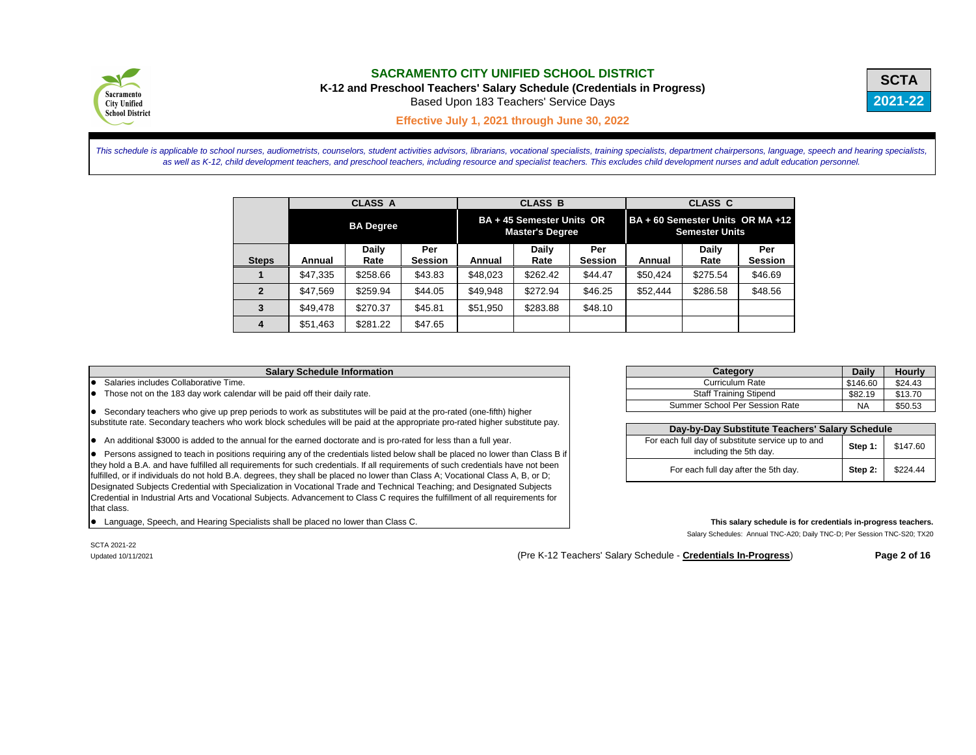|        | <b>Daily</b> | <b>Hourly</b> |
|--------|--------------|---------------|
|        | \$146.60     | \$24.43       |
|        | \$82.19      | \$13.70       |
| า Rate | ΝA           | \$50.53       |

# Salary Schedules: Annual TNC-A20; Daily TNC-D; Per Session TNC-S20; TX20

SCTA 2021-22

**Salary Schedule Information Category Category Category Category Category** Summer School Per Session

**Day-by-Day Substitute T** 

including the 5th day.

For each full day after the 5th

Updated 10/11/2021 (Pre K-12 Teachers' Salary Schedule - **Credentials In-Progress**) **Page 2 of 16** 



# **SACRAMENTO CITY UNIFIED SCHOOL DISTRICT**

This schedule is applicable to school nurses, audiometrists, counselors, student activities advisors, librarians, vocational specialists, training specialists, department chairpersons, language, speech and hearing speciali *as well as K-12, child development teachers, and preschool teachers, including resource and specialist teachers. This excludes child development nurses and adult education personnel.*

**K-12 and Preschool Teachers' Salary Schedule (Credentials in Progress)**

Based Upon 183 Teachers' Service Days

**Effective July 1, 2021 through June 30, 2022 C**

|                        |          | <b>CLASS A</b>       |                       |               | <b>CLASS B</b>                                      |                       | <b>CLASS C</b>                   |                       |                       |  |
|------------------------|----------|----------------------|-----------------------|---------------|-----------------------------------------------------|-----------------------|----------------------------------|-----------------------|-----------------------|--|
|                        |          | <b>BA Degree</b>     |                       |               | BA + 45 Semester Units OR<br><b>Master's Degree</b> |                       | BA + 60 Semester Units OR MA +12 | <b>Semester Units</b> |                       |  |
| <b>Steps</b>           | Annual   | <b>Daily</b><br>Rate | Per<br><b>Session</b> | <b>Annual</b> | <b>Daily</b><br>Rate                                | Per<br><b>Session</b> | Annual                           | <b>Daily</b><br>Rate  | Per<br><b>Session</b> |  |
|                        | \$47,335 | \$258.66             | \$43.83               | \$48,023      | \$262.42                                            | \$44.47               | \$50,424                         | \$275.54              | \$46.69               |  |
| $\mathbf{2}$           | \$47,569 | \$259.94             | \$44.05               | \$49,948      | \$272.94                                            | \$46.25               | \$52,444                         | \$286.58              | \$48.56               |  |
| 3                      | \$49,478 | \$270.37             | \$45.81               | \$51,950      | \$283.88                                            | \$48.10               |                                  |                       |                       |  |
| $\boldsymbol{\Lambda}$ | \$51,463 | \$281.22             | \$47.65               |               |                                                     |                       |                                  |                       |                       |  |

Salaries includes Collaborative Time. Curriculum Rate Curriculum Rate Curriculum Rate Curriculum Rate Curriculum Rate

Those not on the 183 day work calendar will be paid off their daily rate. Staff Training Stipend Staff Training Stipend

**.** Secondary teachers who give up prep periods to work as substitutes will be paid at the pro-rated (one-fifth) higher substitute rate. Secondary teachers who work block schedules will be paid at the appropriate pro-rated higher substitute pay.

• An additional \$3000 is added to the annual for the earned doctorate and is pro-rated for less than a full year.

• Persons assigned to teach in positions requiring any of the credentials listed below shall be placed no lower than Class B if they hold a B.A. and have fulfilled all requirements for such credentials. If all requirements of such credentials have not been fulfilled, or if individuals do not hold B.A. degrees, they shall be placed no lower than Class A; Vocational Class A, B, or D; Designated Subjects Credential with Specialization in Vocational Trade and Technical Teaching; and Designated Subjects Credential in Industrial Arts and Vocational Subjects. Advancement to Class C requires the fulfillment of all requirements for that class.

Language, Speech, and Hearing Specialists shall be placed no lower than Class C. **This salary schedule is for credentials in-progress teachers. This salary schedule is for credentials in-progress teachers.** 

| <b>Feachers' Salary Schedule</b> |         |          |  |  |  |  |  |
|----------------------------------|---------|----------|--|--|--|--|--|
| ice up to and                    | Step 1: | \$147.60 |  |  |  |  |  |
| h dav.                           | Step 2: | \$224.44 |  |  |  |  |  |



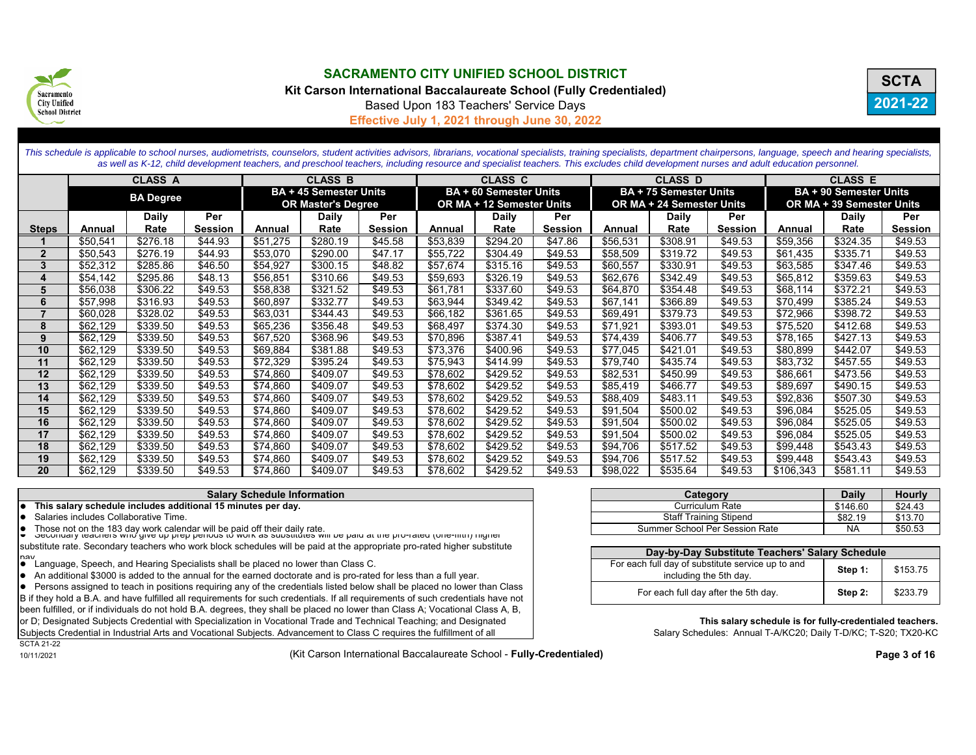

**Kit Carson International Baccalaureate School (Fully Credentialed)**



Based Upon 183 Teachers' Service Days

**Effective July 1, 2021 through June 30, 2022**

|                         |          |                  |                |          |                               | This schedule is applicable to school nurses, audiometrists, counselors, student activities advisors, librarians, vocational specialists, training specialists, department chairpersons, language, speech and hearing speciali<br>as well as K-12, child development teachers, and preschool teachers, including resource and specialist teachers. This excludes child development nurses and adult education personnel. |          |                               |                |          |                               |                |           |                               |                |
|-------------------------|----------|------------------|----------------|----------|-------------------------------|--------------------------------------------------------------------------------------------------------------------------------------------------------------------------------------------------------------------------------------------------------------------------------------------------------------------------------------------------------------------------------------------------------------------------|----------|-------------------------------|----------------|----------|-------------------------------|----------------|-----------|-------------------------------|----------------|
|                         |          | <b>CLASS A</b>   |                |          | <b>CLASS B</b>                |                                                                                                                                                                                                                                                                                                                                                                                                                          |          | <b>CLASS C</b>                |                |          | <b>CLASS D</b>                |                |           | <b>CLASS E</b>                |                |
|                         |          | <b>BA Degree</b> |                |          | <b>BA + 45 Semester Units</b> |                                                                                                                                                                                                                                                                                                                                                                                                                          |          | <b>BA + 60 Semester Units</b> |                |          | <b>BA + 75 Semester Units</b> |                |           | <b>BA + 90 Semester Units</b> |                |
|                         |          |                  |                |          | <b>OR Master's Degree</b>     |                                                                                                                                                                                                                                                                                                                                                                                                                          |          | OR MA + 12 Semester Units     |                |          | OR MA + 24 Semester Units     |                |           | OR MA + 39 Semester Units     |                |
|                         |          | <b>Daily</b>     | Per            |          | <b>Daily</b>                  | Per                                                                                                                                                                                                                                                                                                                                                                                                                      |          | <b>Daily</b>                  | Per            |          | <b>Daily</b>                  | Per            |           | <b>Daily</b>                  | Per            |
| <b>Steps</b>            | Annual   | Rate             | <b>Session</b> | Annual   | Rate                          | <b>Session</b>                                                                                                                                                                                                                                                                                                                                                                                                           | Annual   | Rate                          | <b>Session</b> | Annual   | Rate                          | <b>Session</b> | Annual    | Rate                          | <b>Session</b> |
|                         | \$50,541 | \$276.18         | \$44.93        | \$51,275 | \$280.19                      | \$45.58                                                                                                                                                                                                                                                                                                                                                                                                                  | \$53,839 | \$294.20                      | \$47.86        | \$56,531 | \$308.91                      | \$49.53        | \$59,356  | \$324.35                      | \$49.53        |
| $\overline{2}$          | \$50,543 | \$276.19         | \$44.93        | \$53,070 | \$290.00                      | \$47.17                                                                                                                                                                                                                                                                                                                                                                                                                  | \$55,722 | \$304.49                      | \$49.53        | \$58,509 | \$319.72                      | \$49.53        | \$61,435  | \$335.71                      | \$49.53        |
| 3                       | \$52,312 | \$285.86         | \$46.50        | \$54,927 | \$300.15                      | \$48.82                                                                                                                                                                                                                                                                                                                                                                                                                  | \$57,674 | \$315.16                      | \$49.53        | \$60,557 | \$330.91                      | \$49.53        | \$63,585  | \$347.46                      | \$49.53        |
| $\overline{\mathbf{4}}$ | \$54.142 | \$295.86         | \$48.13        | \$56,851 | \$310.66                      | \$49.53                                                                                                                                                                                                                                                                                                                                                                                                                  | \$59,693 | \$326.19                      | \$49.53        | \$62,676 | \$342.49                      | \$49.53        | \$65,812  | \$359.63                      | \$49.53        |
| 5                       | \$56,038 | \$306.22         | \$49.53        | \$58,838 | \$321.52                      | \$49.53                                                                                                                                                                                                                                                                                                                                                                                                                  | \$61,781 | \$337.60                      | \$49.53        | \$64,870 | \$354.48                      | \$49.53        | \$68,114  | \$372.21                      | \$49.53        |
| 6                       | \$57,998 | \$316.93         | \$49.53        | \$60,897 | \$332.77                      | \$49.53                                                                                                                                                                                                                                                                                                                                                                                                                  | \$63,944 | \$349.42                      | \$49.53        | \$67,141 | \$366.89                      | \$49.53        | \$70,499  | \$385.24                      | \$49.53        |
| $\overline{7}$          | \$60,028 | \$328.02         | \$49.53        | \$63,031 | \$344.43                      | \$49.53                                                                                                                                                                                                                                                                                                                                                                                                                  | \$66,182 | \$361.65                      | \$49.53        | \$69,491 | \$379.73                      | \$49.53        | \$72,966  | \$398.72                      | \$49.53        |
| 8                       | \$62,129 | \$339.50         | \$49.53        | \$65,236 | \$356.48                      | \$49.53                                                                                                                                                                                                                                                                                                                                                                                                                  | \$68,497 | \$374.30                      | \$49.53        | \$71,921 | \$393.01                      | \$49.53        | \$75,520  | \$412.68                      | \$49.53        |
| 9                       | \$62,129 | \$339.50         | \$49.53        | \$67,520 | \$368.96                      | \$49.53                                                                                                                                                                                                                                                                                                                                                                                                                  | \$70,896 | \$387.41                      | \$49.53        | \$74,439 | \$406.77                      | \$49.53        | \$78,165  | \$427.13                      | \$49.53        |
| 10                      | \$62.129 | \$339.50         | \$49.53        | \$69,884 | \$381.88                      | \$49.53                                                                                                                                                                                                                                                                                                                                                                                                                  | \$73,376 | \$400.96                      | \$49.53        | \$77,045 | \$421.01                      | \$49.53        | \$80,899  | \$442.07                      | \$49.53        |
| 11                      | \$62,129 | \$339.50         | \$49.53        | \$72,329 | \$395.24                      | \$49.53                                                                                                                                                                                                                                                                                                                                                                                                                  | \$75,943 | \$414.99                      | \$49.53        | \$79,740 | \$435.74                      | \$49.53        | \$83,732  | \$457.55                      | \$49.53        |
| 12                      | \$62,129 | \$339.50         | \$49.53        | \$74,860 | \$409.07                      | \$49.53                                                                                                                                                                                                                                                                                                                                                                                                                  | \$78,602 | \$429.52                      | \$49.53        | \$82,531 | \$450.99                      | \$49.53        | \$86,661  | \$473.56                      | \$49.53        |
| 13                      | \$62,129 | \$339.50         | \$49.53        | \$74,860 | \$409.07                      | \$49.53                                                                                                                                                                                                                                                                                                                                                                                                                  | \$78,602 | \$429.52                      | \$49.53        | \$85,419 | \$466.77                      | \$49.53        | \$89,697  | \$490.15                      | \$49.53        |
| 14                      | \$62,129 | \$339.50         | \$49.53        | \$74,860 | \$409.07                      | \$49.53                                                                                                                                                                                                                                                                                                                                                                                                                  | \$78,602 | \$429.52                      | \$49.53        | \$88,409 | \$483.11                      | \$49.53        | \$92,836  | \$507.30                      | \$49.53        |
| 15                      | \$62,129 | \$339.50         | \$49.53        | \$74,860 | \$409.07                      | \$49.53                                                                                                                                                                                                                                                                                                                                                                                                                  | \$78,602 | \$429.52                      | \$49.53        | \$91,504 | \$500.02                      | \$49.53        | \$96,084  | \$525.05                      | \$49.53        |
| 16                      | \$62,129 | \$339.50         | \$49.53        | \$74,860 | \$409.07                      | \$49.53                                                                                                                                                                                                                                                                                                                                                                                                                  | \$78,602 | \$429.52                      | \$49.53        | \$91,504 | \$500.02                      | \$49.53        | \$96,084  | \$525.05                      | \$49.53        |
| 17                      | \$62,129 | \$339.50         | \$49.53        | \$74,860 | \$409.07                      | \$49.53                                                                                                                                                                                                                                                                                                                                                                                                                  | \$78,602 | \$429.52                      | \$49.53        | \$91,504 | \$500.02                      | \$49.53        | \$96,084  | \$525.05                      | \$49.53        |
| 18                      | \$62,129 | \$339.50         | \$49.53        | \$74,860 | \$409.07                      | \$49.53                                                                                                                                                                                                                                                                                                                                                                                                                  | \$78,602 | \$429.52                      | \$49.53        | \$94,706 | \$517.52                      | \$49.53        | \$99,448  | \$543.43                      | \$49.53        |
| 19                      | \$62,129 | \$339.50         | \$49.53        | \$74,860 | \$409.07                      | \$49.53                                                                                                                                                                                                                                                                                                                                                                                                                  | \$78,602 | \$429.52                      | \$49.53        | \$94,706 | \$517.52                      | \$49.53        | \$99,448  | \$543.43                      | \$49.53        |
| 20                      | \$62,129 | \$339.50         | \$49.53        | \$74,860 | \$409.07                      | \$49.53                                                                                                                                                                                                                                                                                                                                                                                                                  | \$78,602 | \$429.52                      | \$49.53        | \$98,022 | \$535.64                      | \$49.53        | \$106,343 | \$581.11                      | \$49.53        |

#### **Salary Schedule Information**

- $\bullet$  This salary schedule includes additional 15 minutes per day.
- $\bullet$  Salaries includes Collaborative Time.
- 

 $\bullet$  Those not on the 183 day work calendar will be paid off their daily rate.<br> $\bullet$  Secondary teachers who give up prep periods to work as substitutes will be paid at the pro-rated (one-fifth) higher substitute rate. Secondary teachers who work block schedules will be paid at the appropriate pro-rated higher substitute

- **Pay**<br>• Language, Speech, and Hearing Specialists shall be placed no lower than Class C.
- An additional \$3000 is added to the annual for the earned doctorate and is pro-rated for less than a full year.

Persons assigned to teach in positions requiring any of the credentials listed below shall be placed no lower than Class B if they hold a B.A. and have fulfilled all requirements for such credentials. If all requirements of such credentials have not been fulfilled, or if individuals do not hold B.A. degrees, they shall be placed no lower than Class A; Vocational Class A, B,

or D; Designated Subjects Credential with Specialization in Vocational Trade and Technical Teaching; and Designated

Subjects Credential in Industrial Arts and Vocational Subjects. Advancement to Class C requires the fulfillment of all

SCTA 21-2210/11/2021

(Kit Carson International Baccalaureate School - **Fully-Credentialed) Page 3 of 16** 

| Category                       | <b>Daily</b> | <b>Hourly</b> |
|--------------------------------|--------------|---------------|
| Curriculum Rate                | \$146.60     | \$24.43       |
| <b>Staff Training Stipend</b>  | \$82.19      | \$13.70       |
| Summer School Per Session Rate | NA           | \$50.53       |

| Day-by-Day Substitute Teachers' Salary Schedule                             |         |          |  |  |  |  |  |
|-----------------------------------------------------------------------------|---------|----------|--|--|--|--|--|
| For each full day of substitute service up to and<br>including the 5th day. | Step 1: | \$153.75 |  |  |  |  |  |
| For each full day after the 5th day.                                        | Step 2: | \$233.79 |  |  |  |  |  |

**This salary schedule is for fully-credentialed teachers.** Salary Schedules: Annual T-A/KC20; Daily T-D/KC; T-S20; TX20-KC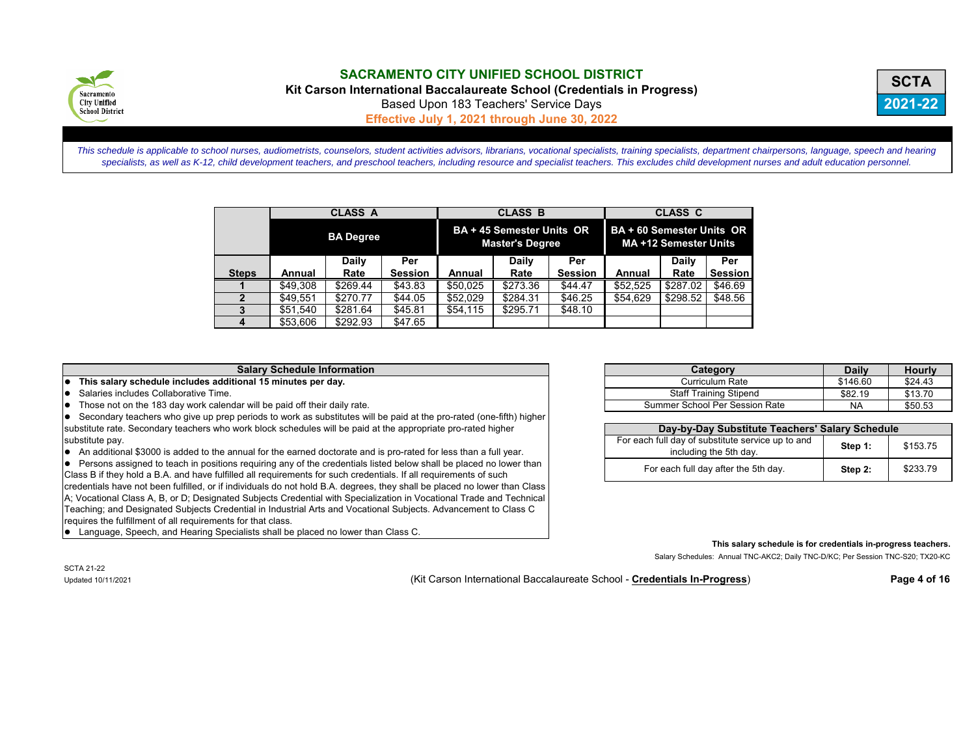

**Kit Carson International Baccalaureate School (Credentials in Progress)**



Based Upon 183 Teachers' Service Days

**Effective July 1, 2021 through June 30, 2022**

*This schedule is applicable to school nurses, audiometrists, counselors, student activities advisors, librarians, vocational specialists, training specialists, department chairpersons, language, speech and hearing specialists, as well as K-12, child development teachers, and preschool teachers, including resource and specialist teachers. This excludes child development nurses and adult education personnel.*

|              |          | <b>CLASS A</b>   |                | <b>CLASS B</b>                                      |          |                | <b>CLASS C</b>                                     |          |                |  |
|--------------|----------|------------------|----------------|-----------------------------------------------------|----------|----------------|----------------------------------------------------|----------|----------------|--|
|              |          | <b>BA Degree</b> |                | BA + 45 Semester Units OR<br><b>Master's Degree</b> |          |                | BA + 60 Semester Units OR<br>MA +12 Semester Units |          |                |  |
|              |          | Daily            | Per            |                                                     | Daily    | Per            |                                                    | Daily    | Per            |  |
| <b>Steps</b> | Annual   | Rate             | <b>Session</b> | Annual                                              | Rate     | <b>Session</b> | Annual                                             | Rate     | <b>Session</b> |  |
|              | \$49,308 | \$269.44         | \$43.83        | \$50.025                                            | \$273.36 | \$44.47        | \$52.525                                           | \$287.02 | \$46.69        |  |
| $\mathbf{2}$ | \$49.551 | \$270.77         | \$44.05        | \$52,029                                            | \$284.31 | \$46.25        | \$54.629                                           | \$298.52 | \$48.56        |  |
|              | \$51.540 | \$281.64         | \$45.81        | \$54,115                                            | \$295.71 | \$48.10        |                                                    |          |                |  |
|              | \$53,606 | \$292.93         | \$47.65        |                                                     |          |                |                                                    |          |                |  |

#### **Salary Schedule Information**

**This salary schedule includes additional 15 minutes per day.** 

 $\bullet$  Salaries includes Collaborative Time.

 $\bullet$  Those not on the 183 day work calendar will be paid off their daily rate.

Secondary teachers who give up prep periods to work as substitutes will be paid at the pro-rated (one-fifth) higher substitute rate. Secondary teachers who work block schedules will be paid at the appropriate pro-rated higher substitute pay.

• An additional \$3000 is added to the annual for the earned doctorate and is pro-rated for less than a full year.

Persons assigned to teach in positions requiring any of the credentials listed below shall be placed no lower than Class B if they hold a B.A. and have fulfilled all requirements for such credentials. If all requirements of such credentials have not been fulfilled, or if individuals do not hold B.A. degrees, they shall be placed no lower than Class A; Vocational Class A, B, or D; Designated Subjects Credential with Specialization in Vocational Trade and Technical Teaching; and Designated Subjects Credential in Industrial Arts and Vocational Subjects. Advancement to Class C requires the fulfillment of all requirements for that class.

Language, Speech, and Hearing Specialists shall be placed no lower than Class C.

| Category                       | <b>Daily</b> | <b>Hourly</b> |
|--------------------------------|--------------|---------------|
| Curriculum Rate                | \$146.60     | \$24.43       |
| <b>Staff Training Stipend</b>  | \$82.19      | \$13.70       |
| Summer School Per Session Rate | <b>NA</b>    | \$50.53       |

| Day-by-Day Substitute Teachers' Salary Schedule                             |         |          |  |  |  |  |  |
|-----------------------------------------------------------------------------|---------|----------|--|--|--|--|--|
| For each full day of substitute service up to and<br>including the 5th day. | Step 1: | \$153.75 |  |  |  |  |  |
| For each full day after the 5th day.                                        | Step 2: | \$233.79 |  |  |  |  |  |

**This salary schedule is for credentials in-progress teachers.** 

Salary Schedules: Annual TNC-AKC2; Daily TNC-D/KC; Per Session TNC-S20; TX20-KC

SCTA 21-22

Updated 10/11/2021 (Kit Carson International Baccalaureate School - **Credentials In-Progress**) **Page 4 of 16**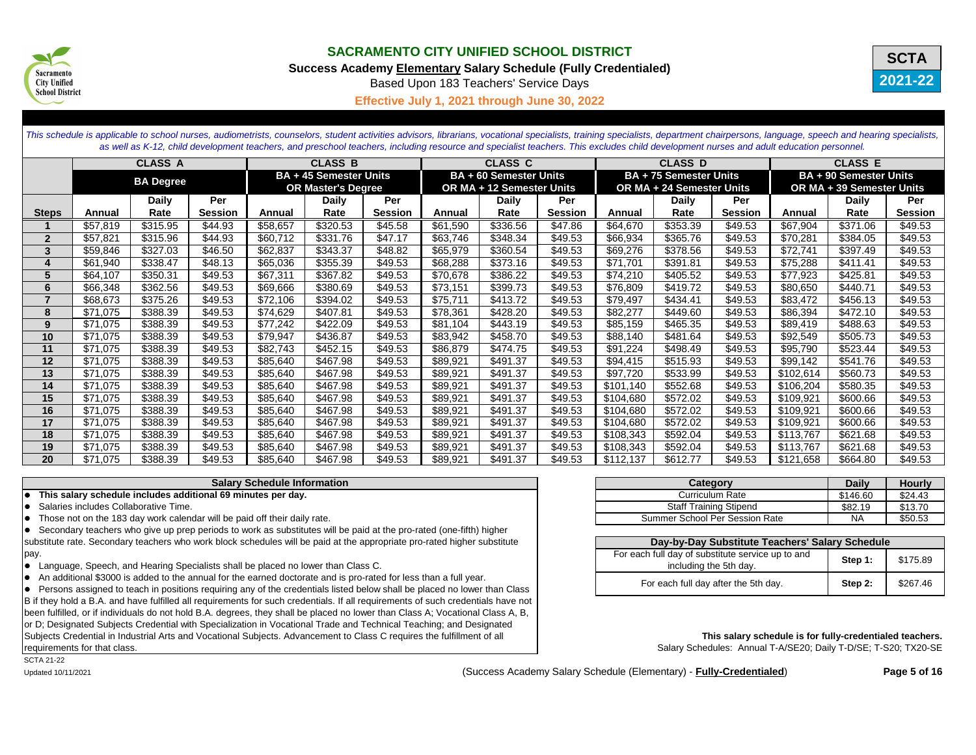

**Success Academy Elementary Salary Schedule (Fully Credentialed)**

**2021-22 SCTA**

Based Upon 183 Teachers' Service Days

**Effective July 1, 2021 through June 30, 2022**

This schedule is applicable to school nurses, audiometrists, counselors, student activities advisors, librarians, vocational specialists, training specialists, department chairpersons, language, speech and hearing speciali *as well as K-12, child development teachers, and preschool teachers, including resource and specialist teachers. This excludes child development nurses and adult education personnel.*

|                         |          | <b>CLASS A</b> |                                                   |          | <b>CLASS B</b>            |                               | <b>CLASS C</b> |                               | <b>CLASS D</b> |                           |                               | <b>CLASS E</b> |                           |              |                |
|-------------------------|----------|----------------|---------------------------------------------------|----------|---------------------------|-------------------------------|----------------|-------------------------------|----------------|---------------------------|-------------------------------|----------------|---------------------------|--------------|----------------|
|                         |          |                | <b>BA + 45 Semester Units</b><br><b>BA Degree</b> |          |                           | <b>BA + 60 Semester Units</b> |                | <b>BA + 75 Semester Units</b> |                |                           | <b>BA + 90 Semester Units</b> |                |                           |              |                |
|                         |          |                |                                                   |          | <b>OR Master's Degree</b> |                               |                | OR MA + 12 Semester Units     |                | OR MA + 24 Semester Units |                               |                | OR MA + 39 Semester Units |              |                |
|                         |          | <b>Daily</b>   | Per                                               |          | <b>Daily</b>              | Per                           |                | <b>Daily</b>                  | Per            |                           | <b>Daily</b>                  | Per            |                           | <b>Daily</b> | Per            |
| <b>Steps</b>            | Annual   | Rate           | <b>Session</b>                                    | Annual   | Rate                      | <b>Session</b>                | Annual         | Rate                          | <b>Session</b> | Annual                    | Rate                          | <b>Session</b> | Annual                    | Rate         | <b>Session</b> |
|                         | \$57,819 | \$315.95       | \$44.93                                           | \$58,657 | \$320.53                  | \$45.58                       | \$61,590       | \$336.56                      | \$47.86        | \$64,670                  | \$353.39                      | \$49.53        | \$67,904                  | \$371.06     | \$49.53        |
| $\overline{2}$          | \$57,821 | \$315.96       | \$44.93                                           | \$60,712 | \$331.76                  | \$47.17                       | \$63,746       | \$348.34                      | \$49.53        | \$66,934                  | \$365.76                      | \$49.53        | \$70,281                  | \$384.05     | \$49.53        |
| $\mathbf{3}$            | \$59,846 | \$327.03       | \$46.50                                           | \$62,837 | \$343.37                  | \$48.82                       | \$65,979       | \$360.54                      | \$49.53        | \$69,276                  | \$378.56                      | \$49.53        | \$72,741                  | \$397.49     | \$49.53        |
| $\overline{\mathbf{4}}$ | \$61,940 | \$338.47       | \$48.13                                           | \$65,036 | \$355.39                  | \$49.53                       | \$68,288       | \$373.16                      | \$49.53        | \$71,701                  | \$391.81                      | \$49.53        | \$75,288                  | \$411.41     | \$49.53        |
| $5\phantom{1}$          | \$64,107 | \$350.31       | \$49.53                                           | \$67,311 | \$367.82                  | \$49.53                       | \$70,678       | \$386.22                      | \$49.53        | \$74,210                  | \$405.52                      | \$49.53        | \$77,923                  | \$425.81     | \$49.53        |
| 6                       | \$66,348 | \$362.56       | \$49.53                                           | \$69,666 | \$380.69                  | \$49.53                       | \$73,151       | \$399.73                      | \$49.53        | \$76,809                  | \$419.72                      | \$49.53        | \$80,650                  | \$440.71     | \$49.53        |
| $\overline{7}$          | \$68,673 | \$375.26       | \$49.53                                           | \$72,106 | \$394.02                  | \$49.53                       | \$75,711       | \$413.72                      | \$49.53        | \$79,497                  | \$434.41                      | \$49.53        | \$83,472                  | \$456.13     | \$49.53        |
| 8                       | \$71,075 | \$388.39       | \$49.53                                           | \$74,629 | \$407.81                  | \$49.53                       | \$78,361       | \$428.20                      | \$49.53        | \$82,277                  | \$449.60                      | \$49.53        | \$86,394                  | \$472.10     | \$49.53        |
| 9                       | \$71,075 | \$388.39       | \$49.53                                           | \$77,242 | \$422.09                  | \$49.53                       | \$81,104       | \$443.19                      | \$49.53        | \$85,159                  | \$465.35                      | \$49.53        | \$89,419                  | \$488.63     | \$49.53        |
| 10                      | \$71,075 | \$388.39       | \$49.53                                           | \$79,947 | \$436.87                  | \$49.53                       | \$83,942       | \$458.70                      | \$49.53        | \$88,140                  | \$481.64                      | \$49.53        | \$92,549                  | \$505.73     | \$49.53        |
| 11                      | \$71,075 | \$388.39       | \$49.53                                           | \$82,743 | \$452.15                  | \$49.53                       | \$86,879       | \$474.75                      | \$49.53        | \$91,224                  | \$498.49                      | \$49.53        | \$95,790                  | \$523.44     | \$49.53        |
| 12                      | \$71,075 | \$388.39       | \$49.53                                           | \$85,640 | \$467.98                  | \$49.53                       | \$89,921       | \$491.37                      | \$49.53        | \$94,415                  | \$515.93                      | \$49.53        | \$99,142                  | \$541.76     | \$49.53        |
| 13                      | \$71,075 | \$388.39       | \$49.53                                           | \$85,640 | \$467.98                  | \$49.53                       | \$89,921       | \$491.37                      | \$49.53        | \$97,720                  | \$533.99                      | \$49.53        | \$102,614                 | \$560.73     | \$49.53        |
| 14                      | \$71,075 | \$388.39       | \$49.53                                           | \$85,640 | \$467.98                  | \$49.53                       | \$89,921       | \$491.37                      | \$49.53        | \$101,140                 | \$552.68                      | \$49.53        | \$106,204                 | \$580.35     | \$49.53        |
| 15                      | \$71,075 | \$388.39       | \$49.53                                           | \$85,640 | \$467.98                  | \$49.53                       | \$89,921       | \$491.37                      | \$49.53        | \$104,680                 | \$572.02                      | \$49.53        | \$109,921                 | \$600.66     | \$49.53        |
| 16                      | \$71,075 | \$388.39       | \$49.53                                           | \$85,640 | \$467.98                  | \$49.53                       | \$89,921       | \$491.37                      | \$49.53        | \$104,680                 | \$572.02                      | \$49.53        | \$109,921                 | \$600.66     | \$49.53        |
| 17                      | \$71,075 | \$388.39       | \$49.53                                           | \$85,640 | \$467.98                  | \$49.53                       | \$89,921       | \$491.37                      | \$49.53        | \$104,680                 | \$572.02                      | \$49.53        | \$109,921                 | \$600.66     | \$49.53        |
| 18                      | \$71,075 | \$388.39       | \$49.53                                           | \$85,640 | \$467.98                  | \$49.53                       | \$89,921       | \$491.37                      | \$49.53        | \$108,343                 | \$592.04                      | \$49.53        | \$113,767                 | \$621.68     | \$49.53        |
| 19                      | \$71,075 | \$388.39       | \$49.53                                           | \$85,640 | \$467.98                  | \$49.53                       | \$89,921       | \$491.37                      | \$49.53        | \$108,343                 | \$592.04                      | \$49.53        | \$113,767                 | \$621.68     | \$49.53        |
| 20                      | \$71,075 | \$388.39       | \$49.53                                           | \$85,640 | \$467.98                  | \$49.53                       | \$89,921       | \$491.37                      | \$49.53        | \$112,137                 | \$612.77                      | \$49.53        | \$121,658                 | \$664.80     | \$49.53        |

### **Salary Schedule Information**

**•** This salary schedule includes additional 69 minutes per day.

Salaries includes Collaborative Time.

Those not on the 183 day work calendar will be paid off their daily rate.

• Secondary teachers who give up prep periods to work as substitutes will be paid at the pro-rated (one-fifth) higher substitute rate. Secondary teachers who work block schedules will be paid at the appropriate pro-rated higher substitute pay.

• Language, Speech, and Hearing Specialists shall be placed no lower than Class C.

• An additional \$3000 is added to the annual for the earned doctorate and is pro-rated for less than a full year.

• Persons assigned to teach in positions requiring any of the credentials listed below shall be placed no lower than Class B if they hold a B.A. and have fulfilled all requirements for such credentials. If all requirements of such credentials have not been fulfilled, or if individuals do not hold B.A. degrees, they shall be placed no lower than Class A; Vocational Class A, B, or D; Designated Subjects Credential with Specialization in Vocational Trade and Technical Teaching; and Designated Subjects Credential in Industrial Arts and Vocational Subjects. Advancement to Class C requires the fulfillment of all requirements for that class.

| Category                              | <b>Daily</b> | <b>Hourly</b> |
|---------------------------------------|--------------|---------------|
| <b>Curriculum Rate</b>                | \$146.60     | \$24.43       |
| <b>Staff Training Stipend</b>         | \$82.19      | \$13.70       |
| <b>Summer School Per Session Rate</b> | NA           | \$50.53       |

| Day-by-Day Substitute Teachers' Salary Schedule                             |         |          |  |  |  |  |
|-----------------------------------------------------------------------------|---------|----------|--|--|--|--|
| For each full day of substitute service up to and<br>including the 5th day. | Step 1: | \$175.89 |  |  |  |  |
| For each full day after the 5th day.                                        | Step 2: | \$267.46 |  |  |  |  |

**This salary schedule is for fully-credentialed teachers.**

Salary Schedules: Annual T-A/SE20; Daily T-D/SE; T-S20; TX20-SE

SCTA 21-22

Updated 10/11/2021 (Success Academy Salary Schedule (Elementary) - **Fully-Credentialed**) **Page 5 of 16**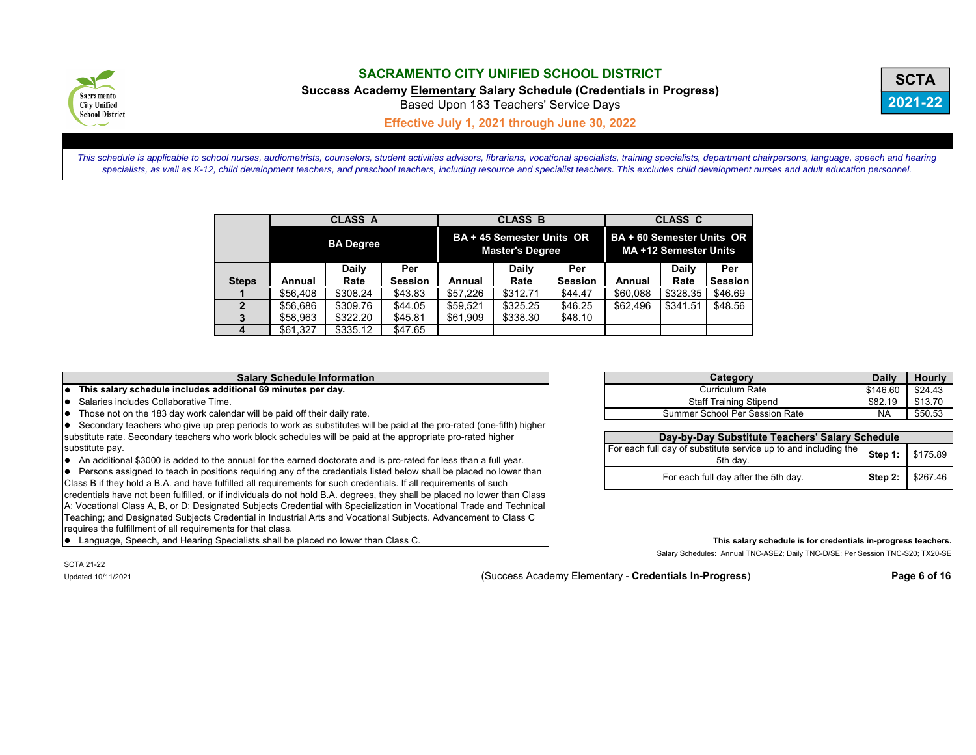

**Success Academy Elementary Salary Schedule (Credentials in Progress)**



Based Upon 183 Teachers' Service Days

**Effective July 1, 2021 through June 30, 2022**

*This schedule is applicable to school nurses, audiometrists, counselors, student activities advisors, librarians, vocational specialists, training specialists, department chairpersons, language, speech and hearing specialists, as well as K-12, child development teachers, and preschool teachers, including resource and specialist teachers. This excludes child development nurses and adult education personnel.*

|              |          | <b>CLASS A</b>   |                |          | <b>CLASS B</b>                                             |                | <b>CLASS C</b>                                            |              |                |  |
|--------------|----------|------------------|----------------|----------|------------------------------------------------------------|----------------|-----------------------------------------------------------|--------------|----------------|--|
|              |          | <b>BA Degree</b> |                |          | <b>BA + 45 Semester Units OR</b><br><b>Master's Degree</b> |                | <b>BA + 60 Semester Units OR</b><br>MA +12 Semester Units |              |                |  |
|              |          | Daily            | Per            |          | Daily                                                      | Per            |                                                           | <b>Daily</b> | Per            |  |
| <b>Steps</b> | Annual   | Rate             | <b>Session</b> | Annual   | Rate                                                       | <b>Session</b> | Annual                                                    | Rate         | <b>Session</b> |  |
|              | \$56,408 | \$308.24         | \$43.83        | \$57.226 | \$312.71                                                   | \$44.47        | \$60.088                                                  | \$328.35     | \$46.69        |  |
|              | \$56,686 | \$309.76         | \$44.05        | \$59.521 | \$325.25                                                   | \$46.25        | \$62,496                                                  | \$341.51     | \$48.56        |  |
|              | \$58,963 | \$322.20         | \$45.81        | \$61,909 | \$338.30                                                   | \$48.10        |                                                           |              |                |  |
|              | \$61,327 | \$335.12         | \$47.65        |          |                                                            |                |                                                           |              |                |  |

#### **Salary Schedule Information**

 $\bullet$  This salary schedule includes additional 69 minutes per day.

 $\bullet$  Salaries includes Collaborative Time.

 $\bullet$  Those not on the 183 day work calendar will be paid off their daily rate.

 $\bullet$  Secondary teachers who give up prep periods to work as substitutes will be paid at the pro-rated (one-fifth) higher substitute rate. Secondary teachers who work block schedules will be paid at the appropriate pro-rated higher substitute pay.

• An additional \$3000 is added to the annual for the earned doctorate and is pro-rated for less than a full year.

Persons assigned to teach in positions requiring any of the credentials listed below shall be placed no lower than Class B if they hold a B.A. and have fulfilled all requirements for such credentials. If all requirements of such credentials have not been fulfilled, or if individuals do not hold B.A. degrees, they shall be placed no lower than Class A; Vocational Class A, B, or D; Designated Subjects Credential with Specialization in Vocational Trade and Technical Teaching; and Designated Subjects Credential in Industrial Arts and Vocational Subjects. Advancement to Class C requires the fulfillment of all requirements for that class.

**Example 3 and Speech, and Hearing Specialists shall be placed no lower than Class C. This salary schedule is for credentials in-progress teachers. This salary schedule is for credentials in-progress teachers.** 

| Category                       | Daily     | <b>Hourly</b> |
|--------------------------------|-----------|---------------|
| Curriculum Rate                | \$146.60  | \$24.43       |
| <b>Staff Training Stipend</b>  | \$82.19   | \$13.70       |
| Summer School Per Session Rate | <b>NA</b> | \$50.53       |

| Day-by-Day Substitute Teachers' Salary Schedule                                                  |                  |  |  |  |  |  |
|--------------------------------------------------------------------------------------------------|------------------|--|--|--|--|--|
| For each full day of substitute service up to and including the   Step 1:   \$175.89<br>5th dav. |                  |  |  |  |  |  |
| For each full day after the 5th day.                                                             | Step 2: \$267.46 |  |  |  |  |  |

Salary Schedules: Annual TNC-ASE2; Daily TNC-D/SE; Per Session TNC-S20; TX20-SE

SCTA 21-22

Updated 10/11/2021 (Success Academy Elementary - **Credentials In-Progress**) **Page 6 of 16**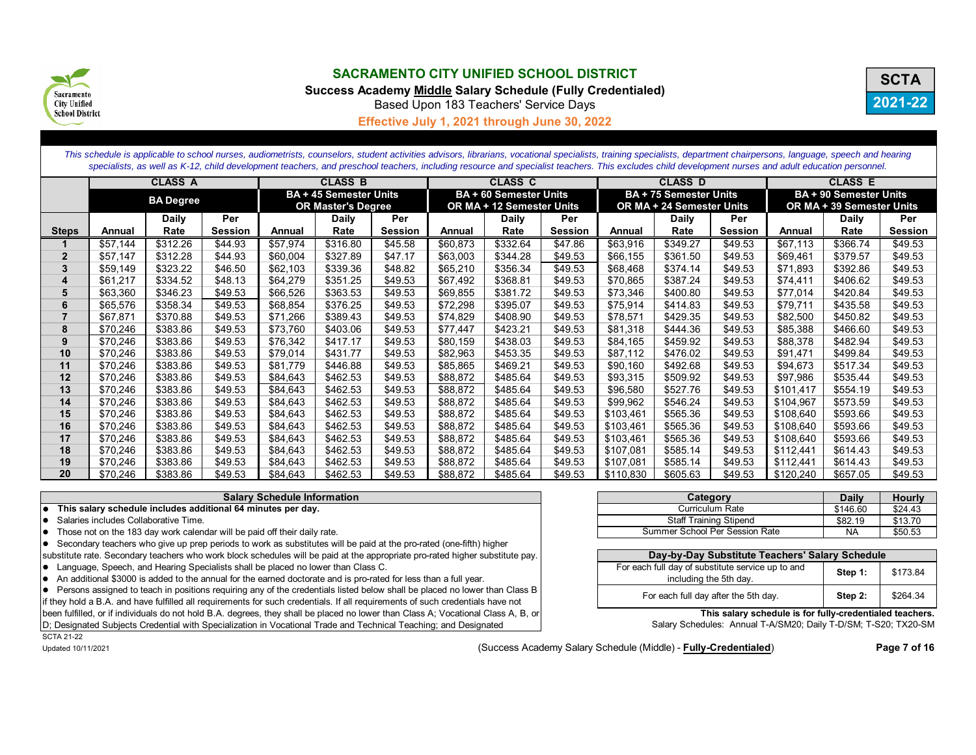

**Success Academy Middle Salary Schedule (Fully Credentialed)**



Based Upon 183 Teachers' Service Days

**Effective July 1, 2021 through June 30, 2022**

*This schedule is applicable to school nurses, audiometrists, counselors, student activities advisors, librarians, vocational specialists, training specialists, department chairpersons, language, speech and hearing specialists, as well as K-12, child development teachers, and preschool teachers, including resource and specialist teachers. This excludes child development nurses and adult education personnel.*

|                | <b>CLASS A</b>   |          |         |                           | <b>CLASS B</b>                |                           |          | <b>CLASS C</b>                |                |           | <b>CLASS D</b>                |                |           | <b>CLASS E</b>                |         |
|----------------|------------------|----------|---------|---------------------------|-------------------------------|---------------------------|----------|-------------------------------|----------------|-----------|-------------------------------|----------------|-----------|-------------------------------|---------|
|                | <b>BA Degree</b> |          |         |                           | <b>BA + 45 Semester Units</b> |                           |          | <b>BA + 60 Semester Units</b> |                |           | <b>BA + 75 Semester Units</b> |                |           | <b>BA + 90 Semester Units</b> |         |
|                |                  |          |         | <b>OR Master's Degree</b> |                               | OR MA + 12 Semester Units |          | OR MA + 24 Semester Units     |                |           | OR MA + 39 Semester Units     |                |           |                               |         |
|                |                  | Daily    | Per     |                           | Daily                         | Per                       |          | Daily                         | Per            |           | Daily                         | Per            |           | <b>Daily</b>                  | Per     |
| <b>Steps</b>   | Annual           | Rate     | Session | Annual                    | Rate                          | Session                   | Annual   | Rate                          | <b>Session</b> | Annual    | Rate                          | <b>Session</b> | Annual    | Rate                          | Session |
|                | \$57.144         | \$312.26 | \$44.93 | \$57.974                  | \$316.80                      | \$45.58                   | \$60,873 | \$332.64                      | \$47.86        | \$63,916  | \$349.27                      | \$49.53        | \$67.113  | \$366.74                      | \$49.53 |
| $\overline{2}$ | \$57,147         | \$312.28 | \$44.93 | \$60,004                  | \$327.89                      | \$47.17                   | \$63,003 | \$344.28                      | \$49.53        | \$66,155  | \$361.50                      | \$49.53        | \$69,461  | \$379.57                      | \$49.53 |
|                | \$59,149         | \$323.22 | \$46.50 | \$62,103                  | \$339.36                      | \$48.82                   | \$65,210 | \$356.34                      | \$49.53        | \$68,468  | \$374.14                      | \$49.53        | \$71,893  | \$392.86                      | \$49.53 |
|                | \$61,217         | \$334.52 | \$48.13 | \$64,279                  | \$351.25                      | \$49.53                   | \$67,492 | \$368.81                      | \$49.53        | \$70,865  | \$387.24                      | \$49.53        | \$74,411  | \$406.62                      | \$49.53 |
| 5              | \$63,360         | \$346.23 | \$49.53 | \$66,526                  | \$363.53                      | \$49.53                   | \$69,855 | \$381.72                      | \$49.53        | \$73,346  | \$400.80                      | \$49.53        | \$77,014  | \$420.84                      | \$49.53 |
| 6              | \$65,576         | \$358.34 | \$49.53 | \$68,854                  | \$376.25                      | \$49.53                   | \$72,298 | \$395.07                      | \$49.53        | \$75,914  | \$414.83                      | \$49.53        | \$79,711  | \$435.58                      | \$49.53 |
|                | \$67,871         | \$370.88 | \$49.53 | \$71,266                  | \$389.43                      | \$49.53                   | \$74,829 | \$408.90                      | \$49.53        | \$78,571  | \$429.35                      | \$49.53        | \$82,500  | \$450.82                      | \$49.53 |
| 8              | \$70,246         | \$383.86 | \$49.53 | \$73,760                  | \$403.06                      | \$49.53                   | \$77,447 | \$423.21                      | \$49.53        | \$81,318  | \$444.36                      | \$49.53        | \$85.388  | \$466.60                      | \$49.53 |
| 9              | \$70,246         | \$383.86 | \$49.53 | \$76,342                  | \$417.17                      | \$49.53                   | \$80,159 | \$438.03                      | \$49.53        | \$84,165  | \$459.92                      | \$49.53        | \$88,378  | \$482.94                      | \$49.53 |
| 10             | \$70,246         | \$383.86 | \$49.53 | \$79,014                  | \$431.77                      | \$49.53                   | \$82,963 | \$453.35                      | \$49.53        | \$87,112  | \$476.02                      | \$49.53        | \$91,471  | \$499.84                      | \$49.53 |
| 11             | \$70,246         | \$383.86 | \$49.53 | \$81,779                  | \$446.88                      | \$49.53                   | \$85,865 | \$469.21                      | \$49.53        | \$90,160  | \$492.68                      | \$49.53        | \$94,673  | \$517.34                      | \$49.53 |
| 12             | \$70,246         | \$383.86 | \$49.53 | \$84,643                  | \$462.53                      | \$49.53                   | \$88,872 | \$485.64                      | \$49.53        | \$93,315  | \$509.92                      | \$49.53        | \$97.986  | \$535.44                      | \$49.53 |
| 13             | \$70,246         | \$383.86 | \$49.53 | \$84,643                  | \$462.53                      | \$49.53                   | \$88,872 | \$485.64                      | \$49.53        | \$96,580  | \$527.76                      | \$49.53        | \$101,417 | \$554.19                      | \$49.53 |
| 14             | \$70,246         | \$383.86 | \$49.53 | \$84,643                  | \$462.53                      | \$49.53                   | \$88,872 | \$485.64                      | \$49.53        | \$99,962  | \$546.24                      | \$49.53        | \$104,967 | \$573.59                      | \$49.53 |
| 15             | \$70,246         | \$383.86 | \$49.53 | \$84,643                  | \$462.53                      | \$49.53                   | \$88,872 | \$485.64                      | \$49.53        | \$103,461 | \$565.36                      | \$49.53        | \$108,640 | \$593.66                      | \$49.53 |
| 16             | \$70,246         | \$383.86 | \$49.53 | \$84.643                  | \$462.53                      | \$49.53                   | \$88,872 | \$485.64                      | \$49.53        | \$103,461 | \$565.36                      | \$49.53        | \$108.640 | \$593.66                      | \$49.53 |
| 17             | \$70,246         | \$383.86 | \$49.53 | \$84,643                  | \$462.53                      | \$49.53                   | \$88,872 | \$485.64                      | \$49.53        | \$103,461 | \$565.36                      | \$49.53        | \$108,640 | \$593.66                      | \$49.53 |
| 18             | \$70,246         | \$383.86 | \$49.53 | \$84,643                  | \$462.53                      | \$49.53                   | \$88,872 | \$485.64                      | \$49.53        | \$107,081 | \$585.14                      | \$49.53        | \$112,441 | \$614.43                      | \$49.53 |
| 19             | \$70,246         | \$383.86 | \$49.53 | \$84,643                  | \$462.53                      | \$49.53                   | \$88,872 | \$485.64                      | \$49.53        | \$107,081 | \$585.14                      | \$49.53        | \$112,441 | \$614.43                      | \$49.53 |
| 20             | \$70,246         | \$383.86 | \$49.53 | \$84,643                  | \$462.53                      | \$49.53                   | \$88,872 | \$485.64                      | \$49.53        | \$110,830 | \$605.63                      | \$49.53        | \$120,240 | \$657.05                      | \$49.53 |

#### **Salary Schedule Information**

**This salary schedule includes additional 64 minutes per day.** 

 $\bullet$  Salaries includes Collaborative Time.

 $\bullet$  Those not on the 183 day work calendar will be paid off their daily rate.

Secondary teachers who give up prep periods to work as substitutes will be paid at the pro-rated (one-fifth) higher

substitute rate. Secondary teachers who work block schedules will be paid at the appropriate pro-rated higher substitute pay. • Language, Speech, and Hearing Specialists shall be placed no lower than Class C.

• An additional \$3000 is added to the annual for the earned doctorate and is pro-rated for less than a full year.

Persons assigned to teach in positions requiring any of the credentials listed below shall be placed no lower than Class B

if they hold a B.A. and have fulfilled all requirements for such credentials. If all requirements of such credentials have not been fulfilled, or if individuals do not hold B.A. degrees, they shall be placed no lower than Class A; Vocational Class A, B, or D; Designated Subjects Credential with Specialization in Vocational Trade and Technical Teaching; and Designated

| Category                       | <b>Daily</b> | <b>Hourly</b> |
|--------------------------------|--------------|---------------|
| Curriculum Rate                | \$146.60     | \$24.43       |
| <b>Staff Training Stipend</b>  | \$82.19      | \$13.70       |
| Summer School Per Session Rate | NA           | \$50.53       |

| Day-by-Day Substitute Teachers' Salary Schedule                             |         |          |  |  |  |  |
|-----------------------------------------------------------------------------|---------|----------|--|--|--|--|
| For each full day of substitute service up to and<br>including the 5th day. | Step 1: | \$173.84 |  |  |  |  |
| For each full day after the 5th day.                                        | Step 2: | \$264.34 |  |  |  |  |

**This salary schedule is for fully-credentialed teachers.**

Salary Schedules: Annual T-A/SM20; Daily T-D/SM; T-S20; TX20-SM

SCTA 21-22

Updated 10/11/2021 **Page 7 of 16** (Success Academy Salary Schedule (Middle) - **Fully-Credentialed**)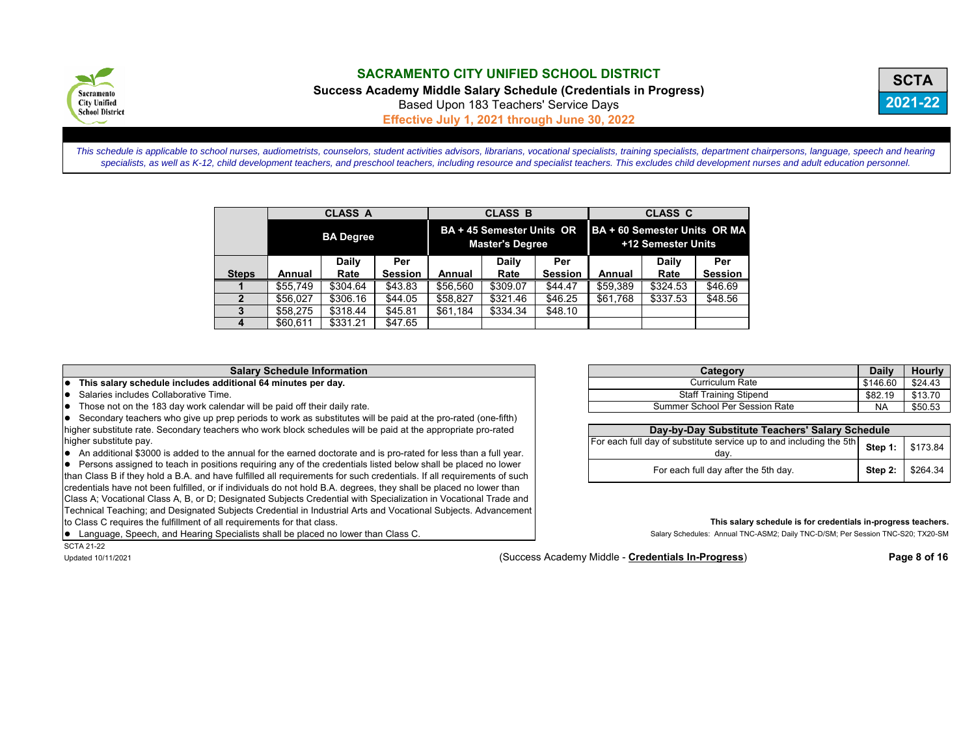

**Success Academy Middle Salary Schedule (Credentials in Progress)**



Based Upon 183 Teachers' Service Days

**Effective July 1, 2021 through June 30, 2022**

*This schedule is applicable to school nurses, audiometrists, counselors, student activities advisors, librarians, vocational specialists, training specialists, department chairpersons, language, speech and hearing specialists, as well as K-12, child development teachers, and preschool teachers, including resource and specialist teachers. This excludes child development nurses and adult education personnel.*

|                |                  | <b>CLASS A</b> |                |                                                     | <b>CLASS B</b> |                | <b>CLASS C</b>                                     |              |                |  |
|----------------|------------------|----------------|----------------|-----------------------------------------------------|----------------|----------------|----------------------------------------------------|--------------|----------------|--|
|                | <b>BA Degree</b> |                |                | BA + 45 Semester Units OR<br><b>Master's Degree</b> |                |                | BA + 60 Semester Units OR MA<br>+12 Semester Units |              |                |  |
|                |                  | Daily          | Per            |                                                     | Daily          | Per            |                                                    | <b>Daily</b> | Per            |  |
| <b>Steps</b>   | Annual           | Rate           | <b>Session</b> | Annual                                              | Rate           | <b>Session</b> | Annual                                             | Rate         | <b>Session</b> |  |
|                | \$55.749         | \$304.64       | \$43.83        | \$56,560                                            | \$309.07       | \$44.47        | \$59,389                                           | \$324.53     | \$46.69        |  |
| $\overline{2}$ | \$56.027         | \$306.16       | \$44.05        | \$58,827                                            | \$321.46       | \$46.25        | \$61.768                                           | \$337.53     | \$48.56        |  |
|                | \$58.275         | \$318.44       | \$45.81        | \$61.184                                            | \$334.34       | \$48.10        |                                                    |              |                |  |
|                | \$60,611         | \$331.21       | \$47.65        |                                                     |                |                |                                                    |              |                |  |

#### **Salary Schedule Information**

 $\bullet$  This salary schedule includes additional 64 minutes per day.

- $\bullet$  Salaries includes Collaborative Time.
- $\bullet$  Those not on the 183 day work calendar will be paid off their daily rate.

Secondary teachers who give up prep periods to work as substitutes will be paid at the pro-rated (one-fifth) higher substitute rate. Secondary teachers who work block schedules will be paid at the appropriate pro-rated higher substitute pay.

 $\bullet$  An additional \$3000 is added to the annual for the earned doctorate and is pro-rated for less than a full year.

Persons assigned to teach in positions requiring any of the credentials listed below shall be placed no lower than Class B if they hold a B.A. and have fulfilled all requirements for such credentials. If all requirements of such credentials have not been fulfilled, or if individuals do not hold B.A. degrees, they shall be placed no lower than Class A; Vocational Class A, B, or D; Designated Subjects Credential with Specialization in Vocational Trade and Technical Teaching; and Designated Subjects Credential in Industrial Arts and Vocational Subjects. Advancement to Class C requires the fulfillment of all requirements for that class.

nguage, Speech, and Hearing Specialists shall be placed no lower than Class C.

|  |  | Langu      |
|--|--|------------|
|  |  | SCTA 21-22 |

| Category                       | <b>Daily</b> | <b>Hourly</b> |
|--------------------------------|--------------|---------------|
| Curriculum Rate                | \$146.60     | \$24.43       |
| <b>Staff Training Stipend</b>  | \$82.19      | \$13.70       |
| Summer School Per Session Rate | <b>NA</b>    | \$50.53       |

| Day-by-Day Substitute Teachers' Salary Schedule                                              |  |                          |  |  |  |  |  |
|----------------------------------------------------------------------------------------------|--|--------------------------|--|--|--|--|--|
| For each full day of substitute service up to and including the 5th Step 1: \$173.84<br>dav. |  |                          |  |  |  |  |  |
| For each full day after the 5th day.                                                         |  | <b>Step 2:</b> $$264.34$ |  |  |  |  |  |

#### **This salary schedule is for credentials in-progress teachers.**

Salary Schedules: Annual TNC-ASM2; Daily TNC-D/SM; Per Session TNC-S20; TX20-SM

Updated 10/11/2021 (Success Academy Middle - **Credentials In-Progress**) **Page 8 of 16**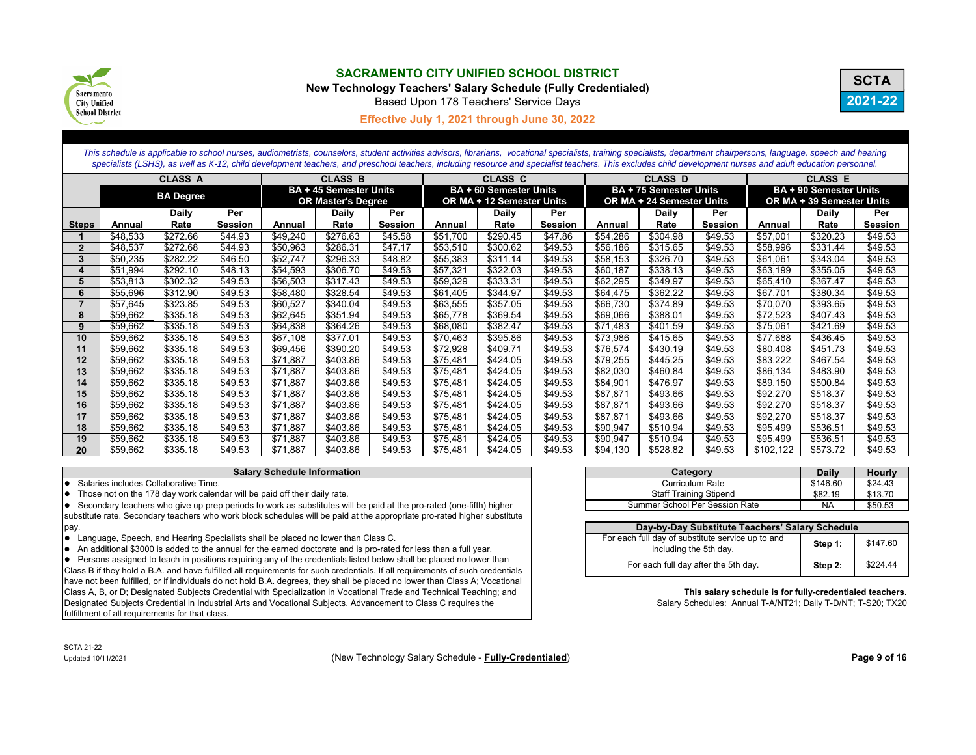

**New Technology Teachers' Salary Schedule (Fully Credentialed)**



Based Upon 178 Teachers' Service Days

#### **Effective July 1, 2021 through June 30, 2022**

*This schedule is applicable to school nurses, audiometrists, counselors, student activities advisors, librarians, vocational specialists, training specialists, department chairpersons, language, speech and hearing*  specialists (LSHS), as well as K-12, child development teachers, and preschool teachers, including resource and specialist teachers. This excludes child development nurses and adult education personnel.

|              |          | <b>CLASS A</b>   |         | <b>CLASS B</b> |                               |                | <b>CLASS C</b> |                           |         |          | <b>CLASS D</b>                |                | <b>CLASS E</b> |                               |                |
|--------------|----------|------------------|---------|----------------|-------------------------------|----------------|----------------|---------------------------|---------|----------|-------------------------------|----------------|----------------|-------------------------------|----------------|
|              |          | <b>BA Degree</b> |         |                | <b>BA + 45 Semester Units</b> |                |                | BA + 60 Semester Units    |         |          | <b>BA + 75 Semester Units</b> |                |                | <b>BA + 90 Semester Units</b> |                |
|              |          |                  |         |                | <b>OR Master's Degree</b>     |                |                | OR MA + 12 Semester Units |         |          | OR MA + 24 Semester Units     |                |                | OR MA + 39 Semester Units     |                |
|              |          | Daily            | Per     |                | Daily                         | Per            |                | Daily                     | Per     |          | Daily                         | Per            |                | Daily                         | Per            |
| <b>Steps</b> | Annual   | Rate             | Session | Annual         | Rate                          | <b>Session</b> | Annual         | Rate                      | Session | Annual   | Rate                          | <b>Session</b> | Annual         | Rate                          | <b>Session</b> |
|              | \$48,533 | \$272.66         | \$44.93 | \$49,240       | \$276.63                      | \$45.58        | \$51.700       | \$290.45                  | \$47.86 | \$54,286 | \$304.98                      | \$49.53        | \$57,001       | \$320.23                      | \$49.53        |
|              | \$48,537 | \$272.68         | \$44.93 | \$50,963       | \$286.31                      | \$47.17        | \$53,510       | \$300.62                  | \$49.53 | \$56,186 | \$315.65                      | \$49.53        | \$58,996       | \$331.44                      | \$49.53        |
| 3            | \$50,235 | \$282.22         | \$46.50 | \$52,747       | \$296.33                      | \$48.82        | \$55,383       | \$311.14                  | \$49.53 | \$58,153 | \$326.70                      | \$49.53        | \$61,061       | \$343.04                      | \$49.53        |
|              | \$51,994 | \$292.10         | \$48.13 | \$54,593       | \$306.70                      | \$49.53        | \$57,321       | \$322.03                  | \$49.53 | \$60,187 | \$338.13                      | \$49.53        | \$63,199       | \$355.05                      | \$49.53        |
|              | \$53,813 | \$302.32         | \$49.53 | \$56,503       | \$317.43                      | \$49.53        | \$59,329       | \$333.31                  | \$49.53 | \$62,295 | \$349.97                      | \$49.53        | \$65,410       | \$367.47                      | \$49.53        |
|              | \$55,696 | \$312.90         | \$49.53 | \$58,480       | \$328.54                      | \$49.53        | \$61,405       | \$344.97                  | \$49.53 | \$64,475 | \$362.22                      | \$49.53        | \$67,701       | \$380.34                      | \$49.53        |
|              | \$57,645 | \$323.85         | \$49.53 | \$60,527       | \$340.04                      | \$49.53        | \$63,555       | \$357.05                  | \$49.53 | \$66,730 | \$374.89                      | \$49.53        | \$70,070       | \$393.65                      | \$49.53        |
| 8            | \$59,662 | \$335.18         | \$49.53 | \$62,645       | \$351.94                      | \$49.53        | \$65,778       | \$369.54                  | \$49.53 | \$69,066 | \$388.01                      | \$49.53        | \$72,523       | \$407.43                      | \$49.53        |
| 9            | \$59,662 | \$335.18         | \$49.53 | \$64,838       | \$364.26                      | \$49.53        | \$68,080       | \$382.47                  | \$49.53 | \$71,483 | \$401.59                      | \$49.53        | \$75,061       | \$421.69                      | \$49.53        |
| 10           | \$59,662 | \$335.18         | \$49.53 | \$67,108       | \$377.01                      | \$49.53        | \$70,463       | \$395.86                  | \$49.53 | \$73,986 | \$415.65                      | \$49.53        | \$77,688       | \$436.45                      | \$49.53        |
| 11           | \$59,662 | \$335.18         | \$49.53 | \$69,456       | \$390.20                      | \$49.53        | \$72,928       | \$409.71                  | \$49.53 | \$76,574 | \$430.19                      | \$49.53        | \$80,408       | \$451.73                      | \$49.53        |
| 12           | \$59,662 | \$335.18         | \$49.53 | \$71,887       | \$403.86                      | \$49.53        | \$75,481       | \$424.05                  | \$49.53 | \$79,255 | \$445.25                      | \$49.53        | \$83,222       | \$467.54                      | \$49.53        |
| 13           | \$59,662 | \$335.18         | \$49.53 | \$71,887       | \$403.86                      | \$49.53        | \$75,481       | \$424.05                  | \$49.53 | \$82,030 | \$460.84                      | \$49.53        | \$86,134       | \$483.90                      | \$49.53        |
| 14           | \$59,662 | \$335.18         | \$49.53 | \$71,887       | \$403.86                      | \$49.53        | \$75,481       | \$424.05                  | \$49.53 | \$84,901 | \$476.97                      | \$49.53        | \$89,150       | \$500.84                      | \$49.53        |
| 15           | \$59,662 | \$335.18         | \$49.53 | \$71,887       | \$403.86                      | \$49.53        | \$75,481       | \$424.05                  | \$49.53 | \$87,871 | \$493.66                      | \$49.53        | \$92,270       | \$518.37                      | \$49.53        |
| 16           | \$59,662 | \$335.18         | \$49.53 | \$71.887       | \$403.86                      | \$49.53        | \$75.481       | \$424.05                  | \$49.53 | \$87,871 | \$493.66                      | \$49.53        | \$92,270       | \$518.37                      | \$49.53        |
| 17           | \$59,662 | \$335.18         | \$49.53 | \$71.887       | \$403.86                      | \$49.53        | \$75.481       | \$424.05                  | \$49.53 | \$87,871 | \$493.66                      | \$49.53        | \$92,270       | \$518.37                      | \$49.53        |
| 18           | \$59,662 | \$335.18         | \$49.53 | \$71,887       | \$403.86                      | \$49.53        | \$75,481       | \$424.05                  | \$49.53 | \$90,947 | \$510.94                      | \$49.53        | \$95,499       | \$536.51                      | \$49.53        |
| 19           | \$59,662 | \$335.18         | \$49.53 | \$71,887       | \$403.86                      | \$49.53        | \$75,481       | \$424.05                  | \$49.53 | \$90,947 | \$510.94                      | \$49.53        | \$95,499       | \$536.51                      | \$49.53        |
| 20           | \$59,662 | \$335.18         | \$49.53 | \$71,887       | \$403.86                      | \$49.53        | \$75,481       | \$424.05                  | \$49.53 | \$94,130 | \$528.82                      | \$49.53        | \$102,122      | \$573.72                      | \$49.53        |

#### **Salary Schedule Information**

 $\bullet$  Salaries includes Collaborative Time.

• Those not on the 178 day work calendar will be paid off their daily rate.

Secondary teachers who give up prep periods to work as substitutes will be paid at the pro-rated (one-fifth) higher substitute rate. Secondary teachers who work block schedules will be paid at the appropriate pro-rated higher substitute pay.

• Language, Speech, and Hearing Specialists shall be placed no lower than Class C.

• An additional \$3000 is added to the annual for the earned doctorate and is pro-rated for less than a full year.

• Persons assigned to teach in positions requiring any of the credentials listed below shall be placed no lower than Class B if they hold a B.A. and have fulfilled all requirements for such credentials. If all requirements of such credentials have not been fulfilled, or if individuals do not hold B.A. degrees, they shall be placed no lower than Class A; Vocational Class A, B, or D; Designated Subjects Credential with Specialization in Vocational Trade and Technical Teaching; and Designated Subjects Credential in Industrial Arts and Vocational Subjects. Advancement to Class C requires the fulfillment of all requirements for that class.

| Category                       | <b>Daily</b> | <b>Hourly</b> |
|--------------------------------|--------------|---------------|
| Curriculum Rate                | \$146.60     | \$24.43       |
| <b>Staff Training Stipend</b>  | \$82.19      | \$13.70       |
| Summer School Per Session Rate | NA           | \$50.53       |

| Day-by-Day Substitute Teachers' Salary Schedule                             |         |          |  |  |  |  |  |  |
|-----------------------------------------------------------------------------|---------|----------|--|--|--|--|--|--|
| For each full day of substitute service up to and<br>including the 5th day. | Step 1: | \$147.60 |  |  |  |  |  |  |
| For each full day after the 5th day.                                        | Step 2: | \$224.44 |  |  |  |  |  |  |

#### **This salary schedule is for fully-credentialed teachers.**

Salary Schedules: Annual T-A/NT21; Daily T-D/NT; T-S20; TX20

SCTA 21-22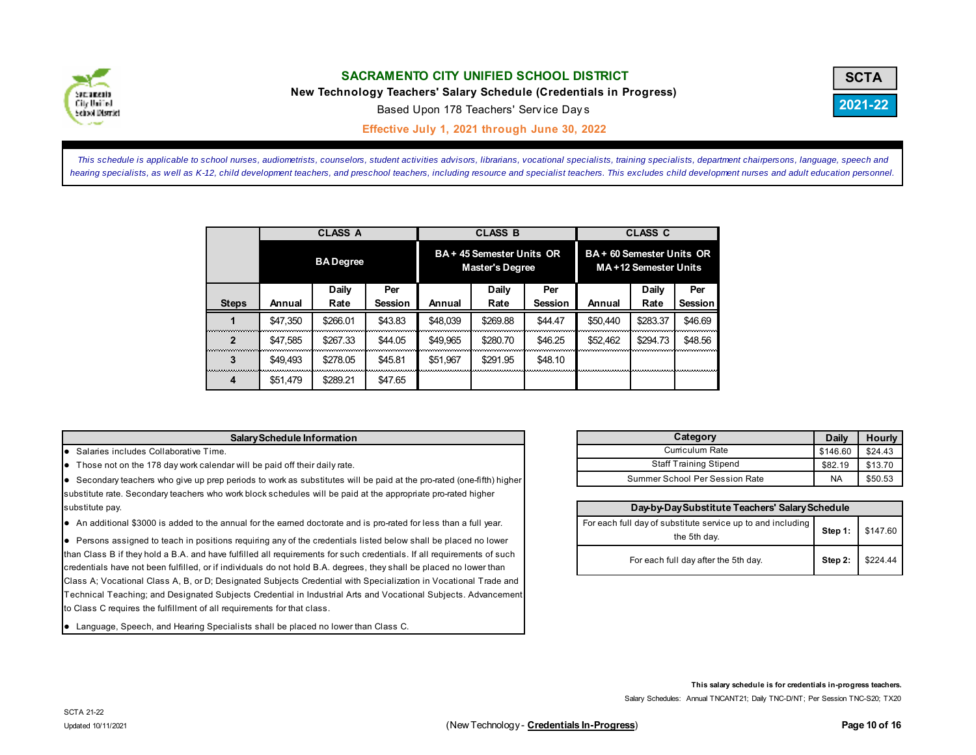

**New Technology Teachers' Salary Schedule (Credentials in Progress)**



Based Upon 178 Teachers' Serv ice Day <sup>s</sup>

**Effective July 1, 2021 through June 30, 2022 C**

This schedule is applicable to school nurses, audiometrists, counselors, student activities advisors, librarians, vocational specialists, training specialists, department chairpersons, language, speech and hearing specialists, as well as K-12, child development teachers, and preschool teachers, including resource and specialist teachers. This excludes child development nurses and adult education personnel.

|              |          | <b>CLASS A</b>   |                |          | <b>CLASS B</b>                                      |                | <b>CLASS C</b><br>BA + 60 Semester Units OR<br>MA+12 Semester Units |          |                |  |
|--------------|----------|------------------|----------------|----------|-----------------------------------------------------|----------------|---------------------------------------------------------------------|----------|----------------|--|
|              |          | <b>BA</b> Degree |                |          | BA + 45 Semester Units OR<br><b>Master's Degree</b> |                |                                                                     |          |                |  |
|              |          | Daily            | Per            |          | Daily                                               | Per            |                                                                     | Daily    | Per            |  |
| <b>Steps</b> | Annual   | Rate             | <b>Session</b> | Annual   | Rate                                                | <b>Session</b> | Annual                                                              | Rate     | <b>Session</b> |  |
|              | \$47,350 | \$266.01         | \$43.83        | \$48.039 | \$269.88                                            | \$44.47        | \$50.440                                                            | \$283.37 | \$46.69        |  |
| $\mathbf 2$  | \$47.585 | \$267.33         | \$44.05        | \$49,965 | \$280.70                                            | \$46.25        | \$52,462                                                            | \$294.73 | \$48.56        |  |
| 3            | \$49.493 | \$278.05         | \$45.81        | \$51.967 | \$291.95                                            | \$48.10        |                                                                     |          |                |  |
| 4            | \$51,479 | \$289.21         | \$47.65        |          |                                                     |                |                                                                     |          |                |  |

#### **Salary Schedule Information**

**•** Salaries includes Collaborative Time.

Those not on the 178 day work calendar will be paid off their daily rate.

Secondary teachers who give up prep periods to work as substitutes will be paid at the pro-rated (one-fifth) higher substitute rate. Secondary teachers who work block schedules will be paid at the appropriate pro-rated higher substitute pay.

An additional \$3000 is added to the annual for the earned doctorate and is pro-rated for less than a full year.

Persons assigned to teach in positions requiring any of the credentials listed below shall be placed no lower than Class B if they hold a B.A. and have fulfilled all requirements for such credentials. If all requirements of such credentials have not been fulfilled, or if individuals do not hold B.A. degrees, they shall be placed no lower than Class A; Vocational Class A, B, or D; Designated Subjects Credential with Specialization in Vocational Trade and Technical Teaching; and Designated Subjects Credential in Industrial Arts and Vocational Subjects. Advancement to Class C requires the fulfillment of all requirements for that class.

Language, Speech, and Hearing Specialists shall be placed no lower than Class C.

| Category                       | Daily     | <b>Hourly</b> |
|--------------------------------|-----------|---------------|
| Curriculum Rate                | \$146.60  | \$24.43       |
| <b>Staff Training Stipend</b>  | \$82.19   | \$13.70       |
| Summer School Per Session Rate | <b>NA</b> | \$50.53       |

| Day-by-Day Substitute Teachers' Salary Schedule                                              |  |                  |  |  |  |  |  |
|----------------------------------------------------------------------------------------------|--|------------------|--|--|--|--|--|
| For each full day of substitute service up to and including Step 1: \$147.60<br>the 5th day. |  |                  |  |  |  |  |  |
| For each full day after the 5th day.                                                         |  | Step 2: \$224.44 |  |  |  |  |  |

**This salary schedule is for credentials in-progress teachers.** 

Salary Schedules: Annual TNCANT21; Daily TNC-D/NT; Per Session TNC-S20; TX20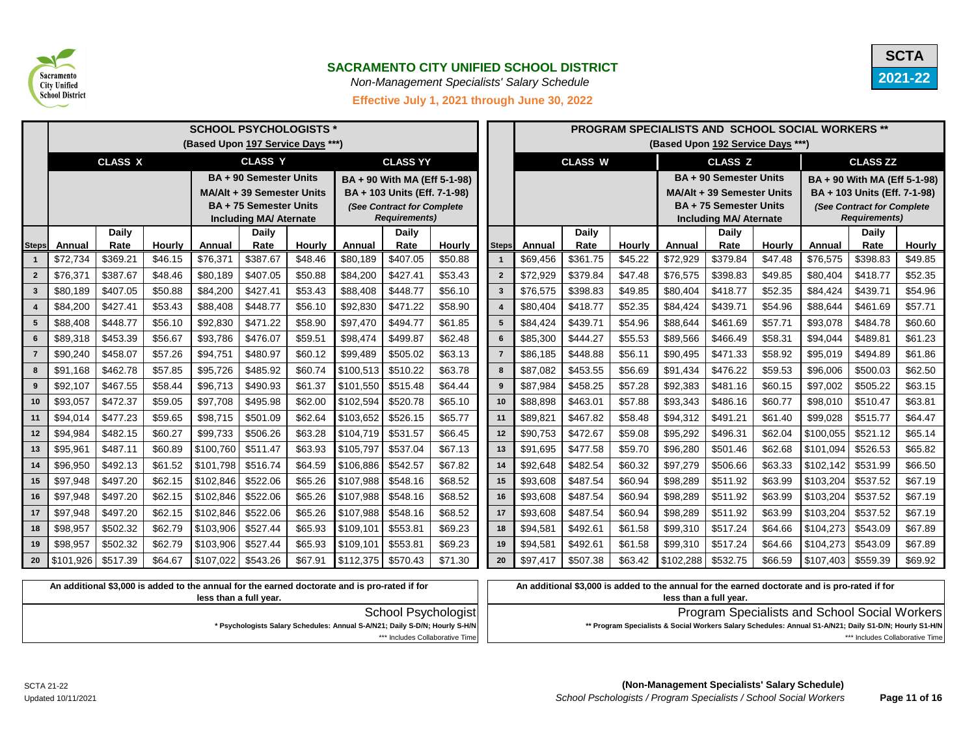



*Non-Management Specialists' Salary Schedule* 

**Effective July 1, 2021 through June 30, 2022**

|              | <b>SCHOOL PSYCHOLOGISTS *</b> |                      |               |                              |                                                                                             |               |                              |                              |                          |                | <b>PROGRAM SPECIALISTS AND SCHOOL SOCIAL WORKERS **</b> |                      |               |                                    |                                                                                                |               |                              |                            |                          |
|--------------|-------------------------------|----------------------|---------------|------------------------------|---------------------------------------------------------------------------------------------|---------------|------------------------------|------------------------------|--------------------------|----------------|---------------------------------------------------------|----------------------|---------------|------------------------------------|------------------------------------------------------------------------------------------------|---------------|------------------------------|----------------------------|--------------------------|
|              |                               |                      |               |                              | (Based Upon 197 Service Days ***)                                                           |               |                              |                              |                          |                |                                                         |                      |               |                                    | (Based Upon 192 Service Days ***)                                                              |               |                              |                            |                          |
|              |                               | <b>CLASS X</b>       |               |                              | <b>CLASS Y</b>                                                                              |               |                              | <b>CLASS YY</b>              |                          |                |                                                         | <b>CLASS W</b>       |               |                                    | <b>CLASS Z</b>                                                                                 |               |                              | <b>CLASS ZZ</b>            |                          |
|              |                               |                      |               |                              | <b>BA + 90 Semester Units</b>                                                               |               |                              | BA + 90 With MA (Eff 5-1-98) |                          |                |                                                         |                      |               |                                    | <b>BA + 90 Semester Units</b>                                                                  |               | BA + 90 With MA (Eff 5-1-98) |                            |                          |
|              |                               |                      |               |                              | <b>MA/Alt + 39 Semester Units</b>                                                           |               | BA + 103 Units (Eff. 7-1-98) |                              |                          |                |                                                         |                      |               |                                    | <b>MA/Alt + 39 Semester Units</b>                                                              |               | BA + 103 Units (Eff. 7-1-98) |                            |                          |
|              |                               |                      |               |                              | <b>BA + 75 Semester Units</b>                                                               |               |                              | (See Contract for Complete   |                          |                |                                                         |                      |               |                                    | <b>BA + 75 Semester Units</b>                                                                  |               |                              | (See Contract for Complete |                          |
|              |                               |                      |               |                              | <b>Including MA/ Aternate</b>                                                               |               |                              | <b>Requirements)</b>         |                          |                |                                                         |                      |               |                                    | <b>Including MA/ Aternate</b>                                                                  |               |                              | <b>Requirements)</b>       |                          |
|              |                               | <b>Daily</b><br>Rate | <b>Hourly</b> |                              | <b>Daily</b><br>Rate                                                                        | <b>Hourly</b> | <b>Annual</b>                | <b>Daily</b>                 |                          |                |                                                         | <b>Daily</b><br>Rate | <b>Hourly</b> | Annual                             | <b>Daily</b>                                                                                   | <b>Hourly</b> |                              | <b>Daily</b><br>Rate       |                          |
| <b>Steps</b> | Annual<br>\$72,734            | \$369.21             | \$46.15       | <b>Annual</b><br>\$76,371    | \$387.67                                                                                    | \$48.46       | \$80,189                     | Rate<br>\$407.05             | <b>Hourly</b><br>\$50.88 | <b>Steps</b>   | Annual<br>\$69,456                                      | \$361.75             | \$45.22       | \$72,929                           | Rate<br>\$379.84                                                                               | \$47.48       | <b>Annual</b><br>\$76,575    | \$398.83                   | <b>Hourly</b><br>\$49.85 |
|              | \$76,37'                      | \$387.67             | \$48.46       | \$80,189                     | \$407.05                                                                                    | \$50.88       | \$84,200                     | \$427.41                     | \$53.43                  | $\overline{2}$ | \$72,929                                                | \$379.84             | \$47.48       | \$76,575                           | \$398.83                                                                                       | \$49.85       | \$80,404                     | \$418.77                   | \$52.35                  |
| 3            | \$80,189                      | \$407.05             | \$50.88       | \$84,200                     | \$427.41                                                                                    | \$53.43       | \$88,408                     | \$448.77                     | \$56.10                  | -3             | \$76,575                                                | \$398.83             | \$49.85       | \$80,404                           | \$418.77                                                                                       | \$52.35       | \$84,424                     | \$439.71                   | \$54.96                  |
|              | \$84,200                      | \$427.41             | \$53.43       | \$88,408                     | \$448.77                                                                                    | \$56.10       | \$92,830                     | \$471.22                     | \$58.90                  |                | \$80,404                                                | \$418.77             | \$52.35       | \$84,424                           | \$439.71                                                                                       | \$54.96       | \$88,644                     | \$461.69                   | \$57.71                  |
| 5            | \$88,408                      | \$448.77             | \$56.10       | \$92,830                     | \$471.22                                                                                    | \$58.90       | \$97,470                     | \$494.77                     | \$61.85                  | -5             | \$84,424                                                | \$439.71             | \$54.96       | \$88,644                           | \$461.69                                                                                       | \$57.71       | \$93,078                     | \$484.78                   | \$60.60                  |
| 6            | \$89,318                      | \$453.39             | \$56.67       | \$93,786                     | \$476.07                                                                                    | \$59.51       | \$98,474                     | \$499.87                     | \$62.48                  | 6              | \$85,300                                                | \$444.27             | \$55.53       | \$89,566                           | \$466.49                                                                                       | \$58.31       | \$94,044                     | \$489.81                   | \$61.23                  |
|              | \$90,240                      | \$458.07             | \$57.26       | \$94,751                     | \$480.97                                                                                    | \$60.12       | \$99,489                     | \$505.02                     | \$63.13                  | $\overline{7}$ | \$86,185                                                | \$448.88             | \$56.11       | \$90,495                           | \$471.33                                                                                       | \$58.92       | \$95,019                     | \$494.89                   | \$61.86                  |
| 8            | \$91,168                      | \$462.78             | \$57.85       | \$95,726                     | \$485.92                                                                                    | \$60.74       | \$100,513                    | \$510.22                     | \$63.78                  | 8              | \$87,082                                                | \$453.55             | \$56.69       | \$91,434                           | \$476.22                                                                                       | \$59.53       | \$96,006                     | \$500.03                   | \$62.50                  |
| 9            | \$92,107                      | \$467.55             | \$58.44       | \$96,713                     | \$490.93                                                                                    | \$61.37       | \$101,550                    | \$515.48                     | \$64.44                  | -9             | \$87,984                                                | \$458.25             | \$57.28       | \$92,383                           | \$481.16                                                                                       | \$60.15       | \$97,002                     | \$505.22                   | \$63.15                  |
| 10           | \$93,057                      | \$472.37             | \$59.05       | \$97,708                     | \$495.98                                                                                    | \$62.00       | \$102,594                    | \$520.78                     | \$65.10                  | 10             | \$88,898                                                | \$463.01             | \$57.88       | \$93,343                           | \$486.16                                                                                       | \$60.77       | \$98,010                     | \$510.47                   | \$63.81                  |
| 11           | \$94,014                      | \$477.23             | \$59.65       | \$98,715                     | \$501.09                                                                                    | \$62.64       | \$103,652                    | \$526.15                     | \$65.77                  | 11             | \$89,821                                                | \$467.82             | \$58.48       | \$94,312                           | \$491.21                                                                                       | \$61.40       | \$99,028                     | \$515.77                   | \$64.47                  |
| 12           | \$94,984                      | \$482.15             | \$60.27       | \$99,733                     | \$506.26                                                                                    | \$63.28       | \$104,719                    | \$531.57                     | \$66.45                  | 12             | \$90,753                                                | \$472.67             | \$59.08       | \$95,292                           | \$496.31                                                                                       | \$62.04       | \$100,055                    | \$521.12                   | \$65.14                  |
| 13           | \$95,961                      | \$487.11             | \$60.89       | \$100,760                    | \$511.47                                                                                    | \$63.93       | \$105,797                    | \$537.04                     | \$67.13                  | 13             | \$91,695                                                | \$477.58             | \$59.70       | \$96,280                           | \$501.46                                                                                       | \$62.68       | \$101,094                    | \$526.53                   | \$65.82                  |
| 14           | \$96,950                      | \$492.13             | \$61.52       | \$101,798                    | \$516.74                                                                                    | \$64.59       | \$106,886                    | \$542.57                     | \$67.82                  | 14             | \$92,648                                                | \$482.54             | \$60.32       | \$97,279                           | \$506.66                                                                                       | \$63.33       | \$102,142                    | \$531.99                   | \$66.50                  |
| 15           | \$97,948                      | \$497.20             | \$62.15       | \$102,846                    | \$522.06                                                                                    | \$65.26       | \$107,988                    | \$548.16                     | \$68.52                  | 15             | \$93,608                                                | \$487.54             | \$60.94       | \$98,289                           | \$511.92                                                                                       | \$63.99       | \$103,204                    | \$537.52                   | \$67.19                  |
| 16           | \$97,948                      | \$497.20             | \$62.15       | \$102,846                    | \$522.06                                                                                    | \$65.26       | \$107,988                    | \$548.16                     | \$68.52                  | 16             | \$93,608                                                | \$487.54             | \$60.94       | \$98,289                           | \$511.92                                                                                       | \$63.99       | \$103,204                    | \$537.52                   | \$67.19                  |
| 17           | \$97,948                      | \$497.20             | \$62.15       | \$102,846                    | \$522.06                                                                                    | \$65.26       | \$107,988                    | \$548.16                     | \$68.52                  | 17             | \$93,608                                                | \$487.54             | \$60.94       | \$98,289                           | \$511.92                                                                                       | \$63.99       | \$103,204                    | \$537.52                   | \$67.19                  |
| 18           | \$98,957                      | \$502.32             | \$62.79       | $\vert$ \$103,906   \$527.44 |                                                                                             | \$65.93       | \$109,101                    | \$553.81                     | \$69.23                  | 18             | \$94,581                                                | \$492.61             | \$61.58       | \$99,310                           | \$517.24                                                                                       | \$64.66       | \$104,273                    | \$543.09                   | \$67.89                  |
| 19           | \$98,957                      | \$502.32             | \$62.79       | $$103,906$ $$527.44$         |                                                                                             | \$65.93       | \$109,101                    | \$553.81                     | \$69.23                  | 19             | \$94,581                                                | \$492.61             | \$61.58       | \$99,310                           | \$517.24                                                                                       | \$64.66       | \$104,273                    | \$543.09                   | \$67.89                  |
| $20\degree$  | $\vert$ \$101,926   \$517.39  |                      | \$64.67       | $\vert$ \$107,022   \$543.26 |                                                                                             | \$67.91       | $$112,375$ $$570.43$         |                              | \$71.30                  | 20             | \$97,417                                                | \$507.38             | \$63.42       | $\vert$ \$102,288 $\vert$ \$532.75 |                                                                                                | \$66.59       | $\vert$ \$107,403   \$559.39 |                            | \$69.92                  |
|              |                               |                      |               |                              | An additional \$3,000 is added to the apply to the earned doctorate and is pro-rated if for |               |                              |                              |                          |                |                                                         |                      |               |                                    | An additional \$2,000 is added to the application the earned doctorate and is pro-rated if for |               |                              |                            |                          |

| An additional \$3,000 is added to the annual for the earned doctorate and is pro-rated if for                                                                                         |
|---------------------------------------------------------------------------------------------------------------------------------------------------------------------------------------|
| less than a full vear.                                                                                                                                                                |
| <b>Program Specialists and School Social Workers</b><br>School Psychologist                                                                                                           |
| * Psychologists Salary Schedules: Annual S-A/N21; Daily S-D/N; Hourly S-H/N<br>** Program Specialists & Social Workers Salary Schedules: Annual S1-A/N21; Daily S1-D/N; Hourly S1-H/N |
| *** Includes Collaborative Time<br>*** Includes Collaborative Time                                                                                                                    |
|                                                                                                                                                                                       |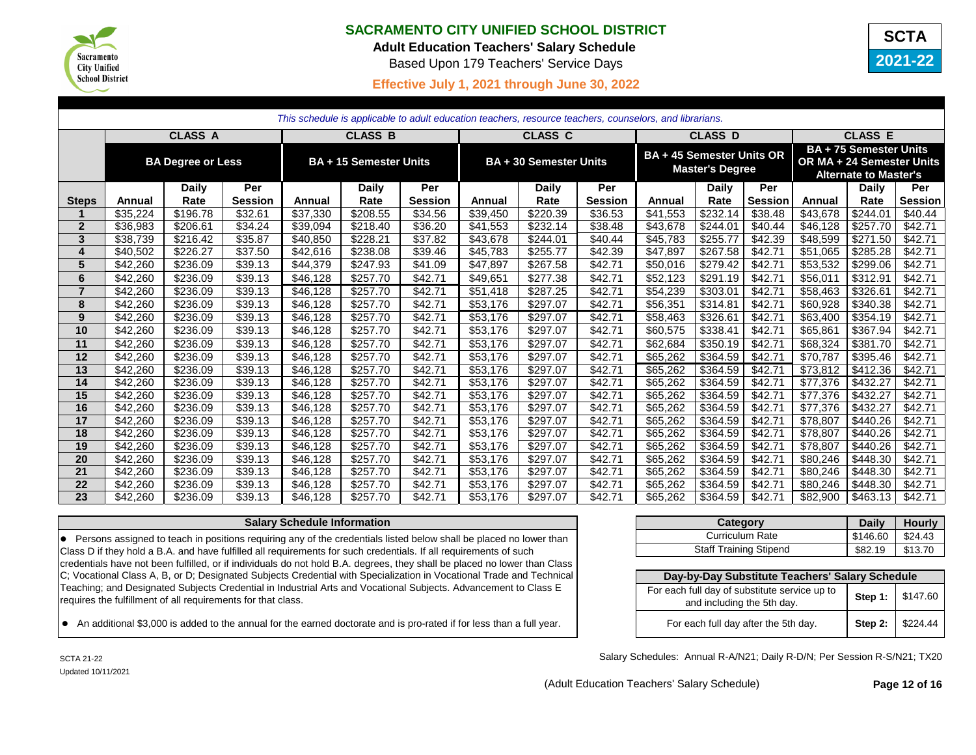

**Adult Education Teachers' Salary Schedule** 

Based Upon 179 Teachers' Service Days

# **2021-22 SCTA**

# **Effective July 1, 2021 through June 30, 2022**

|                 | This schedule is applicable to adult education teachers, resource teachers, counselors, and librarians. |                |                |               |                               |                |               |                               |                |          |                                                            |                |               |                                                                                            |                |
|-----------------|---------------------------------------------------------------------------------------------------------|----------------|----------------|---------------|-------------------------------|----------------|---------------|-------------------------------|----------------|----------|------------------------------------------------------------|----------------|---------------|--------------------------------------------------------------------------------------------|----------------|
|                 |                                                                                                         | <b>CLASS A</b> |                |               | <b>CLASS B</b>                |                |               | <b>CLASS C</b>                |                |          | <b>CLASS D</b>                                             |                |               | <b>CLASS E</b>                                                                             |                |
|                 | <b>BA Degree or Less</b>                                                                                |                |                |               | <b>BA + 15 Semester Units</b> |                |               | <b>BA + 30 Semester Units</b> |                |          | <b>BA + 45 Semester Units OR</b><br><b>Master's Degree</b> |                |               | <b>BA + 75 Semester Units</b><br>OR MA + 24 Semester Units<br><b>Alternate to Master's</b> |                |
|                 |                                                                                                         | <b>Daily</b>   | Per            |               | <b>Daily</b>                  | Per            |               | <b>Daily</b>                  | Per            |          | <b>Daily</b>                                               | Per            |               | <b>Daily</b>                                                                               | Per            |
| <b>Steps</b>    | Annual                                                                                                  | Rate           | <b>Session</b> | <b>Annual</b> | Rate                          | <b>Session</b> | <b>Annual</b> | Rate                          | <b>Session</b> | Annual   | Rate                                                       | <b>Session</b> | <b>Annual</b> | Rate                                                                                       | <b>Session</b> |
|                 | \$35,224                                                                                                | \$196.78       | \$32.61        | \$37,330      | \$208.55                      | \$34.56        | \$39,450      | \$220.39                      | \$36.53        | \$41,553 | \$232.14                                                   | \$38.48        | \$43,678      | \$244.01                                                                                   | \$40.44        |
| $\mathbf{2}$    | \$36,983                                                                                                | \$206.61       | \$34.24        | \$39,094      | \$218.40                      | \$36.20        | \$41,553      | \$232.14                      | \$38.48        | \$43,678 | \$244.01                                                   | \$40.44        | \$46,128      | \$257.70                                                                                   | \$42.71        |
| $\mathbf{3}$    | \$38,739                                                                                                | \$216.42       | \$35.87        | \$40,850      | \$228.21                      | \$37.82        | \$43,678      | \$244.01                      | \$40.44        | \$45,783 | \$255.77                                                   | \$42.39        | \$48,599      | \$271.50                                                                                   | \$42.71        |
| 4               | \$40,502                                                                                                | \$226.27       | \$37.50        | \$42,616      | \$238.08                      | \$39.46        | \$45,783      | \$255.77                      | \$42.39        | \$47,897 | \$267.58                                                   | \$42.71        | \$51,065      | \$285.28                                                                                   | \$42.71        |
| $5\phantom{.0}$ | \$42,260                                                                                                | \$236.09       | \$39.13        | \$44,379      | \$247.93                      | \$41.09        | \$47,897      | \$267.58                      | \$42.71        | \$50,016 | \$279.42                                                   | \$42.71        | \$53,532      | \$299.06                                                                                   | \$42.71        |
| 6               | \$42,260                                                                                                | \$236.09       | \$39.13        | \$46,128      | \$257.70                      | \$42.71        | \$49,651      | \$277.38                      | \$42.71        | \$52,123 | \$291.19                                                   | \$42.71        | \$56,011      | \$312.91                                                                                   | \$42.71        |
| $\overline{7}$  | \$42,260                                                                                                | \$236.09       | \$39.13        | \$46,128      | \$257.70                      | \$42.71        | \$51,418      | \$287.25                      | \$42.71        | \$54,239 | \$303.01                                                   | \$42.71        | \$58,463      | \$326.61                                                                                   | \$42.71        |
| 8               | \$42,260                                                                                                | \$236.09       | \$39.13        | \$46,128      | \$257.70                      | \$42.71        | \$53,176      | \$297.07                      | \$42.71        | \$56,351 | \$314.81                                                   | \$42.71        | \$60,928      | \$340.38                                                                                   | \$42.71        |
| 9               | \$42,260                                                                                                | \$236.09       | \$39.13        | \$46,128      | \$257.70                      | \$42.71        | \$53,176      | \$297.07                      | \$42.71        | \$58,463 | \$326.61                                                   | \$42.71        | \$63,400      | \$354.19                                                                                   | \$42.71        |
| 10              | \$42,260                                                                                                | \$236.09       | \$39.13        | \$46,128      | \$257.70                      | \$42.71        | \$53,176      | \$297.07                      | \$42.71        | \$60,575 | \$338.41                                                   | \$42.71        | \$65,861      | \$367.94                                                                                   | \$42.71        |
| 11              | \$42,260                                                                                                | \$236.09       | \$39.13        | \$46,128      | \$257.70                      | \$42.71        | \$53,176      | \$297.07                      | \$42.71        | \$62,684 | \$350.19                                                   | \$42.71        | \$68,324      | \$381.70                                                                                   | \$42.71        |
| 12              | \$42,260                                                                                                | \$236.09       | \$39.13        | \$46,128      | \$257.70                      | \$42.71        | \$53,176      | \$297.07                      | \$42.71        | \$65,262 | \$364.59                                                   | \$42.71        | \$70,787      | \$395.46                                                                                   | \$42.71        |
| 13              | \$42,260                                                                                                | \$236.09       | \$39.13        | \$46,128      | \$257.70                      | \$42.71        | \$53,176      | \$297.07                      | \$42.71        | \$65,262 | \$364.59                                                   | \$42.71        | \$73,812      | \$412.36                                                                                   | \$42.71        |
| 14              | \$42,260                                                                                                | \$236.09       | \$39.13        | \$46,128      | \$257.70                      | \$42.71        | \$53,176      | \$297.07                      | \$42.71        | \$65,262 | \$364.59                                                   | \$42.71        | \$77,376      | \$432.27                                                                                   | \$42.71        |
| 15              | \$42,260                                                                                                | \$236.09       | \$39.13        | \$46,128      | \$257.70                      | \$42.71        | \$53,176      | \$297.07                      | \$42.71        | \$65,262 | \$364.59                                                   | \$42.71        | \$77,376      | \$432.27                                                                                   | \$42.71        |
| 16              | \$42,260                                                                                                | \$236.09       | \$39.13        | \$46,128      | \$257.70                      | \$42.71        | \$53,176      | \$297.07                      | \$42.71        | \$65,262 | \$364.59                                                   | \$42.71        | \$77,376      | \$432.27                                                                                   | \$42.71        |
| 17              | \$42,260                                                                                                | \$236.09       | \$39.13        | \$46,128      | \$257.70                      | \$42.71        | \$53,176      | \$297.07                      | \$42.71        | \$65,262 | \$364.59                                                   | \$42.71        | \$78,807      | \$440.26                                                                                   | \$42.71        |
| 18              | \$42,260                                                                                                | \$236.09       | \$39.13        | \$46,128      | \$257.70                      | \$42.71        | \$53,176      | \$297.07                      | \$42.71        | \$65,262 | \$364.59                                                   | \$42.71        | \$78,807      | \$440.26                                                                                   | \$42.71        |
| 19              | \$42,260                                                                                                | \$236.09       | \$39.13        | \$46,128      | \$257.70                      | \$42.71        | \$53,176      | \$297.07                      | \$42.71        | \$65,262 | \$364.59                                                   | \$42.71        | \$78,807      | \$440.26                                                                                   | \$42.71        |
| 20              | \$42,260                                                                                                | \$236.09       | \$39.13        | \$46,128      | \$257.70                      | \$42.71        | \$53,176      | \$297.07                      | \$42.71        | \$65,262 | \$364.59                                                   | \$42.71        | \$80,246      | \$448.30                                                                                   | \$42.71        |
| 21              | \$42,260                                                                                                | \$236.09       | \$39.13        | \$46,128      | \$257.70                      | \$42.71        | \$53,176      | \$297.07                      | \$42.71        | \$65,262 | \$364.59                                                   | \$42.71        | \$80,246      | \$448.30                                                                                   | \$42.71        |
| 22              | \$42,260                                                                                                | \$236.09       | \$39.13        | \$46,128      | \$257.70                      | \$42.71        | \$53,176      | \$297.07                      | \$42.71        | \$65,262 | \$364.59                                                   | \$42.71        | \$80,246      | \$448.30                                                                                   | \$42.71        |
| 23              | \$42,260                                                                                                | \$236.09       | \$39.13        | \$46,128      | \$257.70                      | \$42.71        | \$53,176      | \$297.07                      | \$42.71        | \$65,262 | \$364.59                                                   | \$42.71        | \$82,900      | \$463.13                                                                                   | \$42.71        |

### **Salary Schedule Information**

**.** Persons assigned to teach in positions requiring any of the credentials listed below shall be placed no lower than Class D if they hold a B.A. and have fulfilled all requirements for such credentials. If all requirements of such credentials have not been fulfilled, or if individuals do not hold B.A. degrees, they shall be placed no lower than Class C; Vocational Class A, B, or D; Designated Subjects Credential with Specialization in Vocational Trade and Technical Teaching; and Designated Subjects Credential in Industrial Arts and Vocational Subjects. Advancement to Class E requires the fulfillment of all requirements for that class.

• An additional \$3,000 is added to the annual for the earned doctorate and is pro-rated if for less than a full year.

| Category                      | <b>Daily</b> | <b>Hourly</b> |
|-------------------------------|--------------|---------------|
| <b>Curriculum Rate</b>        | \$146.60     | \$24.43       |
| <b>Staff Training Stipend</b> | \$82.19      | \$13.70       |

| Day-by-Day Substitute Teachers' Salary Schedule                             |  |                    |  |  |  |  |  |  |
|-----------------------------------------------------------------------------|--|--------------------|--|--|--|--|--|--|
| For each full day of substitute service up to<br>and including the 5th day. |  | Step 1: \$147.60   |  |  |  |  |  |  |
| For each full day after the 5th day.                                        |  | Step 2:   \$224.44 |  |  |  |  |  |  |

Salary Schedules: Annual R-A/N21; Daily R-D/N; Per Session R-S/N21; TX20

(Adult Education Teachers' Salary Schedule) **Page 12 of 16**

SCTA 21-22 Updated 10/11/2021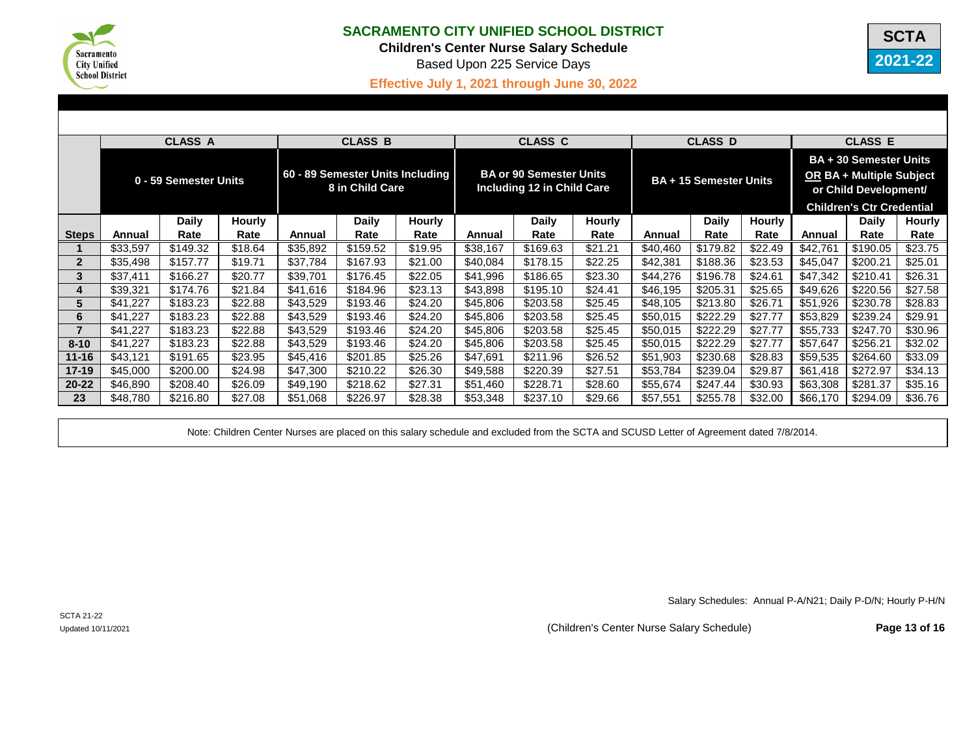

**Children's Center Nurse Salary Schedule**

Based Upon 225 Service Days



# **Effective July 1, 2021 through June 30, 2022**

|              |                       | <b>CLASS A</b> |               |                                                     | <b>CLASS B</b> |                                                                     |          | <b>CLASS C</b> |                               |          | <b>CLASS D</b> |                                                                                                                        |          | <b>CLASS E</b> |               |
|--------------|-----------------------|----------------|---------------|-----------------------------------------------------|----------------|---------------------------------------------------------------------|----------|----------------|-------------------------------|----------|----------------|------------------------------------------------------------------------------------------------------------------------|----------|----------------|---------------|
|              | 0 - 59 Semester Units |                |               | 60 - 89 Semester Units Including<br>8 in Child Care |                | <b>BA or 90 Semester Units</b><br><b>Including 12 in Child Care</b> |          |                | <b>BA + 15 Semester Units</b> |          |                | <b>BA + 30 Semester Units</b><br>OR BA + Multiple Subject<br>or Child Development/<br><b>Children's Ctr Credential</b> |          |                |               |
|              |                       | <b>Daily</b>   | <b>Hourly</b> |                                                     | <b>Daily</b>   | <b>Hourly</b>                                                       |          | <b>Daily</b>   | <b>Hourly</b>                 |          | <b>Daily</b>   | <b>Hourly</b>                                                                                                          |          | <b>Daily</b>   | <b>Hourly</b> |
| <b>Steps</b> | Annual                | Rate           | Rate          | Annual                                              | Rate           | Rate                                                                | Annual   | Rate           | Rate                          | Annual   | Rate           | Rate                                                                                                                   | Annual   | Rate           | Rate          |
|              | \$33,597              | \$149.32       | \$18.64       | \$35,892                                            | \$159.52       | \$19.95                                                             | \$38,167 | \$169.63       | \$21.21                       | \$40,460 | \$179.82       | \$22.49                                                                                                                | \$42,761 | \$190.05       | \$23.75       |
| $\mathbf{2}$ | \$35,498              | \$157.77       | \$19.71       | \$37,784                                            | \$167.93       | \$21.00                                                             | \$40,084 | \$178.15       | \$22.25                       | \$42,381 | \$188.36       | \$23.53                                                                                                                | \$45,047 | \$200.21       | \$25.01       |
| 3            | \$37,411              | \$166.27       | \$20.77       | \$39,701                                            | \$176.45       | \$22.05                                                             | \$41,996 | \$186.65       | \$23.30                       | \$44,276 | \$196.78       | \$24.61                                                                                                                | \$47,342 | \$210.41       | \$26.31       |
|              | \$39,321              | \$174.76       | \$21.84       | \$41,616                                            | \$184.96       | \$23.13                                                             | \$43,898 | \$195.10       | \$24.41                       | \$46,195 | \$205.31       | \$25.65                                                                                                                | \$49,626 | \$220.56       | \$27.58       |
| 5            | \$41,227              | \$183.23       | \$22.88       | \$43,529                                            | \$193.46       | \$24.20                                                             | \$45,806 | \$203.58       | \$25.45                       | \$48,105 | \$213.80       | \$26.71                                                                                                                | \$51,926 | \$230.78       | \$28.83       |
| 6            | \$41,227              | \$183.23       | \$22.88       | \$43,529                                            | \$193.46       | \$24.20                                                             | \$45,806 | \$203.58       | \$25.45                       | \$50,015 | \$222.29       | \$27.77                                                                                                                | \$53,829 | \$239.24       | \$29.91       |
|              | \$41,227              | \$183.23       | \$22.88       | \$43,529                                            | \$193.46       | \$24.20                                                             | \$45,806 | \$203.58       | \$25.45                       | \$50,015 | \$222.29       | \$27.77                                                                                                                | \$55,733 | \$247.70       | \$30.96       |
| $8 - 10$     | \$41,227              | \$183.23       | \$22.88       | \$43,529                                            | \$193.46       | \$24.20                                                             | \$45,806 | \$203.58       | \$25.45                       | \$50,015 | \$222.29       | \$27.77                                                                                                                | \$57,647 | \$256.21       | \$32.02       |
| $11 - 16$    | \$43,121              | \$191.65       | \$23.95       | \$45,416                                            | \$201.85       | \$25.26                                                             | \$47,691 | \$211.96       | \$26.52                       | \$51,903 | \$230.68       | \$28.83                                                                                                                | \$59,535 | \$264.60       | \$33.09       |
| $17 - 19$    | \$45,000              | \$200.00       | \$24.98       | \$47,300                                            | \$210.22       | \$26.30                                                             | \$49,588 | \$220.39       | \$27.51                       | \$53,784 | \$239.04       | \$29.87                                                                                                                | \$61,418 | \$272.97       | \$34.13       |
| $20 - 22$    | \$46,890              | \$208.40       | \$26.09       | \$49,190                                            | \$218.62       | \$27.31                                                             | \$51,460 | \$228.71       | \$28.60                       | \$55,674 | \$247.44       | \$30.93                                                                                                                | \$63,308 | \$281.37       | \$35.16       |
| 23           | \$48,780              | \$216.80       | \$27.08       | \$51,068                                            | \$226.97       | \$28.38                                                             | \$53,348 | \$237.10       | \$29.66                       | \$57,551 | \$255.78       | \$32.00                                                                                                                | \$66,170 | \$294.09       | \$36.76       |

Note: Children Center Nurses are placed on this salary schedule and excluded from the SCTA and SCUSD Letter of Agreement dated 7/8/2014.

Salary Schedules: Annual P-A/N21; Daily P-D/N; Hourly P-H/N

Updated 10/11/2021 **Page 13 of 16** (Children's Center Nurse Salary Schedule)

SCTA 21-22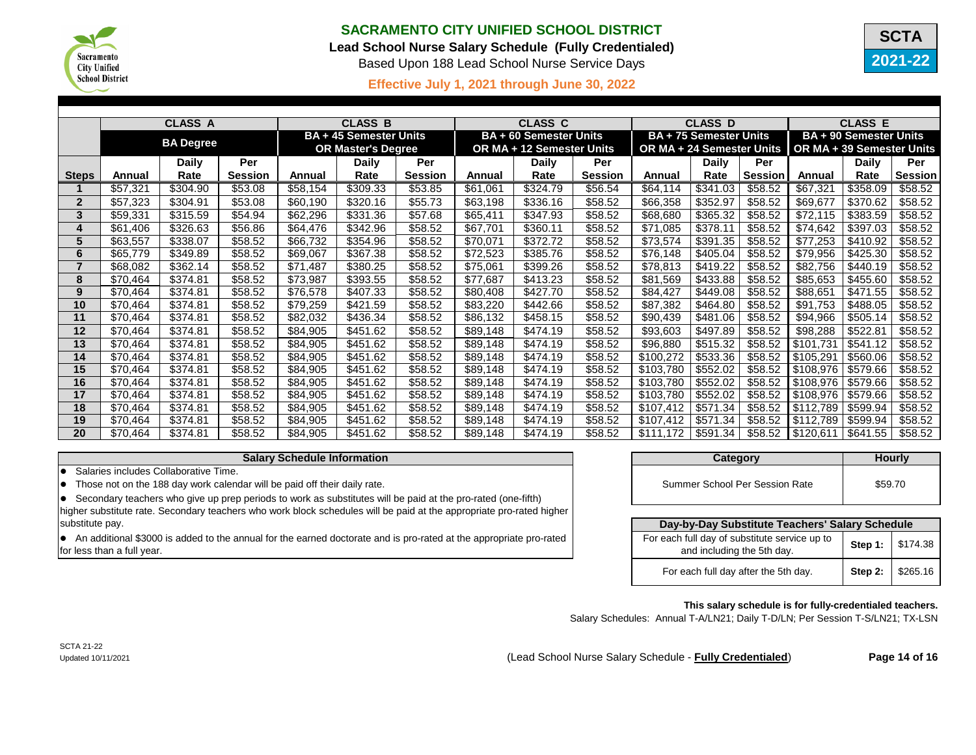

# **Lead School Nurse Salary Schedule (Fully Credentialed)**

Based Upon 188 Lead School Nurse Service Days



# **Effective July 1, 2021 through June 30, 2022 C**

|                |                  | <b>CLASS A</b> |                               |          | <b>CLASS B</b>            |                | <b>CLASS C</b>                |                           |                | <b>CLASS D</b>                   |                      |                | <b>CLASS E</b>                |              |                |
|----------------|------------------|----------------|-------------------------------|----------|---------------------------|----------------|-------------------------------|---------------------------|----------------|----------------------------------|----------------------|----------------|-------------------------------|--------------|----------------|
|                | <b>BA Degree</b> |                | <b>BA + 45 Semester Units</b> |          |                           |                | <b>BA + 60 Semester Units</b> |                           |                | <b>BA + 75 Semester Units</b>    |                      |                | <b>BA + 90 Semester Units</b> |              |                |
|                |                  |                |                               |          | <b>OR Master's Degree</b> |                |                               | OR MA + 12 Semester Units |                | <b>OR MA + 24 Semester Units</b> |                      |                | OR MA + 39 Semester Units     |              |                |
|                |                  | <b>Daily</b>   | Per                           |          | <b>Daily</b>              | Per            |                               | <b>Daily</b>              | Per            |                                  | <b>Daily</b>         | Per            |                               | <b>Daily</b> | Per            |
| <b>Steps</b>   | Annual           | Rate           | <b>Session</b>                | Annual   | Rate                      | <b>Session</b> | Annual                        | Rate                      | <b>Session</b> | Annual                           | Rate                 | <b>Session</b> | Annual                        | Rate         | <b>Session</b> |
|                | \$57,321         | \$304.90       | \$53.08                       | \$58,154 | \$309.33                  | \$53.85        | \$61,061                      | \$324.79                  | \$56.54        | \$64,114                         | $\overline{$}341.03$ | \$58.52        | \$67,321                      | \$358.09     | \$58.52        |
| $\overline{2}$ | \$57,323         | \$304.91       | \$53.08                       | \$60,190 | \$320.16                  | \$55.73        | \$63,198                      | \$336.16                  | \$58.52        | \$66,358                         | \$352.97             | \$58.52        | \$69,677                      | \$370.62     | \$58.52        |
| 3              | \$59,331         | \$315.59       | \$54.94                       | \$62,296 | \$331.36                  | \$57.68        | \$65,411                      | \$347.93                  | \$58.52        | \$68,680                         | \$365.32             | \$58.52        | \$72,115                      | \$383.59     | \$58.52        |
| 4              | \$61,406         | \$326.63       | \$56.86                       | \$64,476 | \$342.96                  | \$58.52        | \$67,701                      | \$360.11                  | \$58.52        | \$71,085                         | \$378.11             | \$58.52        | \$74,642                      | \$397.03     | \$58.52        |
| 5              | \$63,557         | \$338.07       | \$58.52                       | \$66,732 | \$354.96                  | \$58.52        | \$70,071                      | \$372.72                  | \$58.52        | \$73,574                         | \$391.35             | \$58.52        | \$77,253                      | \$410.92     | \$58.52        |
| 6              | \$65,779         | \$349.89       | \$58.52                       | \$69,067 | \$367.38                  | \$58.52        | \$72,523                      | \$385.76                  | \$58.52        | \$76,148                         | \$405.04             | \$58.52        | \$79,956                      | \$425.30     | \$58.52        |
|                | \$68,082         | \$362.14       | \$58.52                       | \$71,487 | \$380.25                  | \$58.52        | \$75,061                      | \$399.26                  | \$58.52        | \$78,813                         | \$419.22             | \$58.52        | \$82,756                      | \$440.19     | \$58.52        |
| 8              | \$70,464         | \$374.81       | \$58.52                       | \$73,987 | \$393.55                  | \$58.52        | \$77,687                      | \$413.23                  | \$58.52        | \$81,569                         | \$433.88             | \$58.52        | \$85,653                      | \$455.60     | \$58.52        |
| 9              | \$70,464         | \$374.81       | \$58.52                       | \$76,578 | \$407.33                  | \$58.52        | \$80,408                      | \$427.70                  | \$58.52        | \$84,427                         | \$449.08             | \$58.52        | \$88,651                      | \$471.55     | \$58.52        |
| 10             | \$70,464         | \$374.81       | \$58.52                       | \$79,259 | \$421.59                  | \$58.52        | \$83,220                      | \$442.66                  | \$58.52        | \$87,382                         | \$464.80             | \$58.52        | \$91,753                      | \$488.05     | \$58.52        |
| 11             | \$70,464         | \$374.81       | \$58.52                       | \$82,032 | \$436.34                  | \$58.52        | \$86,132                      | \$458.15                  | \$58.52        | \$90,439                         | \$481.06             | \$58.52        | \$94,966                      | \$505.14     | \$58.52        |
| 12             | \$70,464         | \$374.81       | \$58.52                       | \$84,905 | \$451.62                  | \$58.52        | \$89,148                      | \$474.19                  | \$58.52        | \$93,603                         | \$497.89             | \$58.52        | \$98,288                      | \$522.81     | \$58.52        |
| 13             | \$70,464         | \$374.81       | \$58.52                       | \$84,905 | \$451.62                  | \$58.52        | \$89,148                      | \$474.19                  | \$58.52        | \$96,880                         | \$515.32             | \$58.52        | \$101,731                     | \$541.12     | \$58.52        |
| 14             | \$70,464         | \$374.81       | \$58.52                       | \$84,905 | \$451.62                  | \$58.52        | \$89,148                      | \$474.19                  | \$58.52        | \$100,272                        | \$533.36             | \$58.52        | \$105,291                     | \$560.06     | \$58.52        |
| 15             | \$70,464         | \$374.81       | \$58.52                       | \$84,905 | \$451.62                  | \$58.52        | \$89,148                      | \$474.19                  | \$58.52        | \$103,780                        | \$552.02             | \$58.52        | \$108,976                     | \$579.66     | \$58.52        |
| 16             | \$70,464         | \$374.81       | \$58.52                       | \$84,905 | \$451.62                  | \$58.52        | \$89,148                      | \$474.19                  | \$58.52        | \$103,780                        | \$552.02             | \$58.52        | \$108,976                     | \$579.66     | \$58.52        |
| 17             | \$70,464         | \$374.81       | \$58.52                       | \$84,905 | \$451.62                  | \$58.52        | \$89,148                      | \$474.19                  | \$58.52        | \$103,780                        | \$552.02             | \$58.52        | \$108,976                     | \$579.66     | \$58.52        |
| 18             | \$70,464         | \$374.81       | \$58.52                       | \$84,905 | \$451.62                  | \$58.52        | \$89,148                      | \$474.19                  | \$58.52        | \$107,412                        | \$571.34             | \$58.52        | \$112,789                     | \$599.94     | \$58.52        |
| 19             | \$70,464         | \$374.81       | \$58.52                       | \$84,905 | \$451.62                  | \$58.52        | \$89,148                      | \$474.19                  | \$58.52        | \$107,412                        | \$571.34             | \$58.52        | \$112,789                     | \$599.94     | \$58.52        |
| 20             | \$70,464         | \$374.81       | \$58.52                       | \$84,905 | \$451.62                  | \$58.52        | \$89,148                      | \$474.19                  | \$58.52        | \$111,172                        | \$591.34             | \$58.52        | \$120,611                     | \$641.55     | \$58.52        |

### **Salary Schedule Information**

**•** Salaries includes Collaborative Time.

 $\bullet$  Those not on the 188 day work calendar will be paid off their daily rate.

 $\bullet$  Secondary teachers who give up prep periods to work as substitutes will be paid at the pro-rated (one-fifth) higher substitute rate. Secondary teachers who work block schedules will be paid at the appropriate pro-rated higher substitute pay.

**.** An additional \$3000 is added to the annual for the earned doctorate and is pro-rated at the appropriate pro-rated for less than a full year.

| Category                       | <b>Hourly</b> |
|--------------------------------|---------------|
| Summer School Per Session Rate | \$59.70       |

| Day-by-Day Substitute Teachers' Salary Schedule                             |  |                    |  |  |  |  |
|-----------------------------------------------------------------------------|--|--------------------|--|--|--|--|
| For each full day of substitute service up to<br>and including the 5th day. |  | Step 1:   \$174.38 |  |  |  |  |
| For each full day after the 5th day.                                        |  | Step 2:   \$265.16 |  |  |  |  |

#### **This salary schedule is for fully-credentialed teachers.**

Salary Schedules: Annual T-A/LN21; Daily T-D/LN; Per Session T-S/LN21; TX-LSN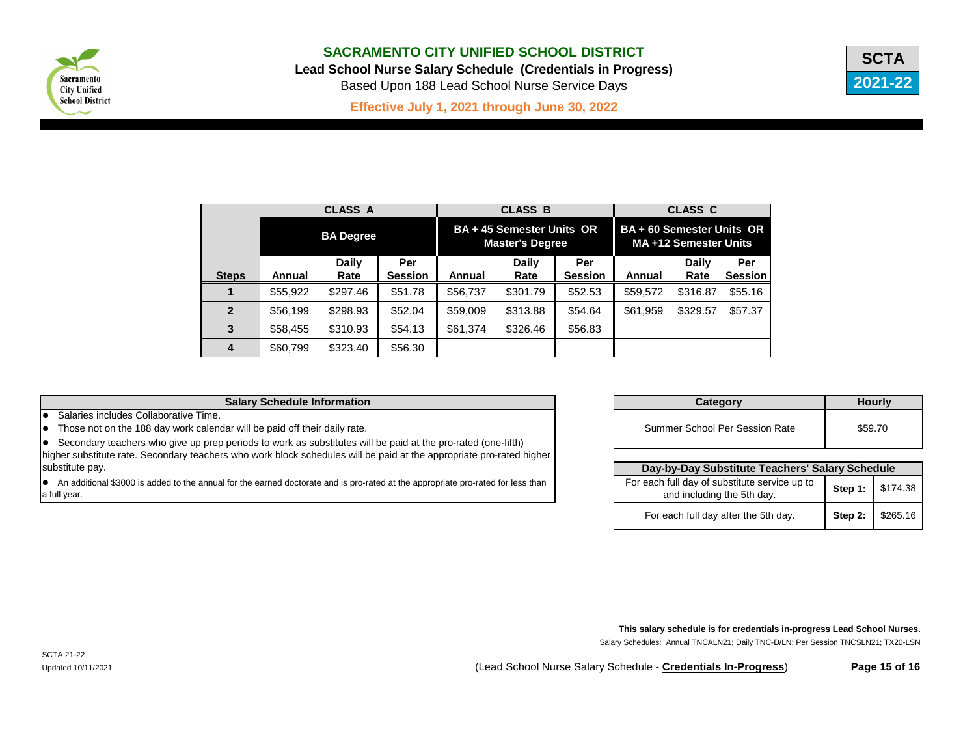

**Lead School Nurse Salary Schedule (Credentials in Progress)**

Based Upon 188 Lead School Nurse Service Days



**Effective July 1, 2021 through June 30, 2022 C**

|                |          | <b>CLASS A</b>   |                |          | <b>CLASS B</b>                                      |                | <b>CLASS C</b><br><b>BA + 60 Semester Units OR</b><br>MA +12 Semester Units |              |                |  |
|----------------|----------|------------------|----------------|----------|-----------------------------------------------------|----------------|-----------------------------------------------------------------------------|--------------|----------------|--|
|                |          | <b>BA Degree</b> |                |          | BA + 45 Semester Units OR<br><b>Master's Degree</b> |                |                                                                             |              |                |  |
|                |          | <b>Daily</b>     | Per            |          | <b>Daily</b>                                        | Per            |                                                                             | <b>Daily</b> | Per            |  |
| <b>Steps</b>   | Annual   | Rate             | <b>Session</b> | Annual   | Rate                                                | <b>Session</b> | <b>Annual</b>                                                               | Rate         | <b>Session</b> |  |
|                | \$55,922 | \$297.46         | \$51.78        | \$56,737 | \$301.79                                            | \$52.53        | \$59,572                                                                    | \$316.87     | \$55.16        |  |
| $\overline{2}$ | \$56,199 | \$298.93         | \$52.04        | \$59,009 | \$313.88                                            | \$54.64        | \$61,959                                                                    | \$329.57     | \$57.37        |  |
| $\mathbf{3}$   | \$58,455 | \$310.93         | \$54.13        | \$61,374 | \$326.46                                            | \$56.83        |                                                                             |              |                |  |
| 4              | \$60,799 | \$323.40         | \$56.30        |          |                                                     |                |                                                                             |              |                |  |

## **Salary Schedule Information**

**•** Salaries includes Collaborative Time.

• Those not on the 188 day work calendar will be paid off their daily rate.

• Secondary teachers who give up prep periods to work as substitutes will be paid at the pro-rated (one-fifth) higher substitute rate. Secondary teachers who work block schedules will be paid at the appropriate pro-rated higher substitute pay. **Day-by-Day Substitute Teachers' Salary Schedule**

• An additional \$3000 is added to the annual for the earned doctorate and is pro-rated at the appropriate pro-rated for less than a full year.

| Category                       | <b>Hourly</b> |
|--------------------------------|---------------|
| Summer School Per Session Rate | \$59.70       |

| Day-by-Day Substitute Teachers' Salary Schedule                             |  |                    |  |  |  |  |
|-----------------------------------------------------------------------------|--|--------------------|--|--|--|--|
| For each full day of substitute service up to<br>and including the 5th day. |  | Step 1:   \$174.38 |  |  |  |  |
| For each full day after the 5th day.                                        |  | Step 2:   \$265.16 |  |  |  |  |

Salary Schedules: Annual TNCALN21; Daily TNC-D/LN; Per Session TNCSLN21; TX20-LSN **This salary schedule is for credentials in-progress Lead School Nurses.**